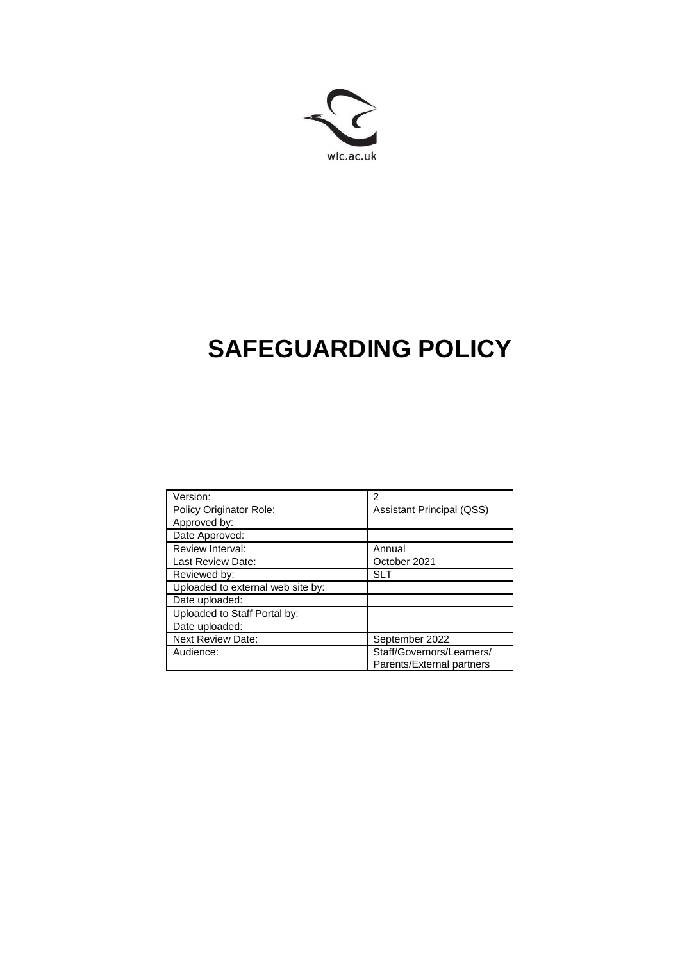

# **SAFEGUARDING POLICY**

| Version:                          | $\mathcal{P}$                    |
|-----------------------------------|----------------------------------|
| Policy Originator Role:           | <b>Assistant Principal (QSS)</b> |
| Approved by:                      |                                  |
| Date Approved:                    |                                  |
| Review Interval:                  | Annual                           |
| Last Review Date:                 | October 2021                     |
| Reviewed by:                      | SLT                              |
| Uploaded to external web site by: |                                  |
| Date uploaded:                    |                                  |
| Uploaded to Staff Portal by:      |                                  |
| Date uploaded:                    |                                  |
| <b>Next Review Date:</b>          | September 2022                   |
| Audience:                         | Staff/Governors/Learners/        |
|                                   | Parents/External partners        |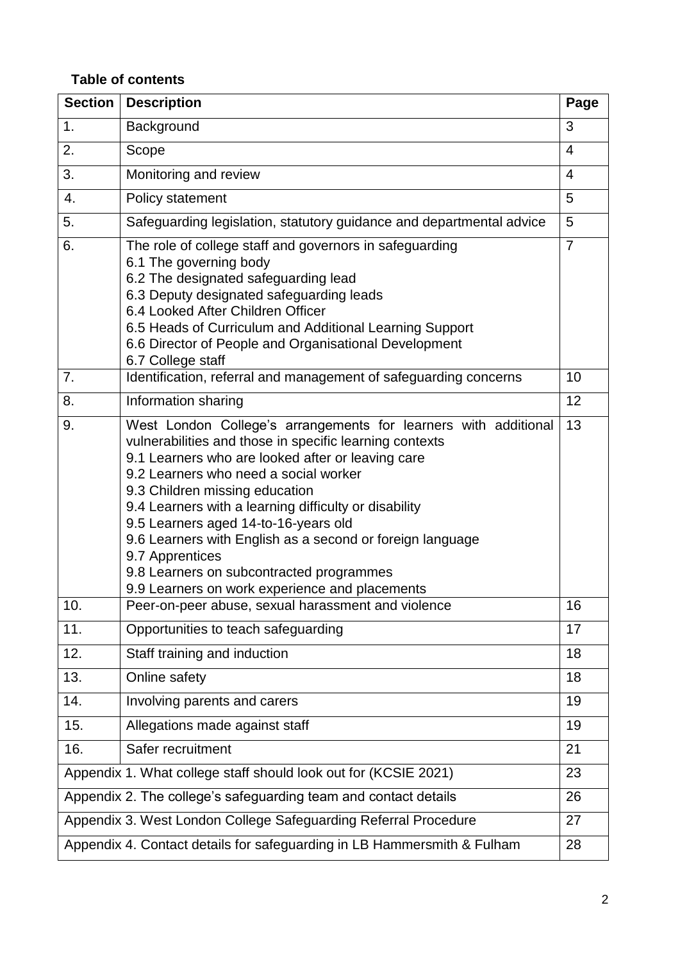# **Table of contents**

| <b>Section</b>                                                          | <b>Description</b>                                                                                                                                                                                                                                                                                                                                                                                                                                                                                                                        | Page           |  |  |
|-------------------------------------------------------------------------|-------------------------------------------------------------------------------------------------------------------------------------------------------------------------------------------------------------------------------------------------------------------------------------------------------------------------------------------------------------------------------------------------------------------------------------------------------------------------------------------------------------------------------------------|----------------|--|--|
| 1.                                                                      | Background                                                                                                                                                                                                                                                                                                                                                                                                                                                                                                                                | 3              |  |  |
| 2.                                                                      | Scope                                                                                                                                                                                                                                                                                                                                                                                                                                                                                                                                     | $\overline{4}$ |  |  |
| 3.                                                                      | Monitoring and review                                                                                                                                                                                                                                                                                                                                                                                                                                                                                                                     | 4              |  |  |
| 4.                                                                      | Policy statement                                                                                                                                                                                                                                                                                                                                                                                                                                                                                                                          | 5              |  |  |
| 5.                                                                      | Safeguarding legislation, statutory guidance and departmental advice                                                                                                                                                                                                                                                                                                                                                                                                                                                                      | 5              |  |  |
| 6.                                                                      | The role of college staff and governors in safeguarding<br>6.1 The governing body<br>6.2 The designated safeguarding lead<br>6.3 Deputy designated safeguarding leads<br>6.4 Looked After Children Officer<br>6.5 Heads of Curriculum and Additional Learning Support<br>6.6 Director of People and Organisational Development<br>6.7 College staff                                                                                                                                                                                       | $\overline{7}$ |  |  |
| 7.                                                                      | Identification, referral and management of safeguarding concerns                                                                                                                                                                                                                                                                                                                                                                                                                                                                          | 10             |  |  |
| 8.                                                                      | Information sharing                                                                                                                                                                                                                                                                                                                                                                                                                                                                                                                       | 12             |  |  |
| 9.                                                                      | West London College's arrangements for learners with additional<br>vulnerabilities and those in specific learning contexts<br>9.1 Learners who are looked after or leaving care<br>9.2 Learners who need a social worker<br>9.3 Children missing education<br>9.4 Learners with a learning difficulty or disability<br>9.5 Learners aged 14-to-16-years old<br>9.6 Learners with English as a second or foreign language<br>9.7 Apprentices<br>9.8 Learners on subcontracted programmes<br>9.9 Learners on work experience and placements | 13             |  |  |
| 10.                                                                     | Peer-on-peer abuse, sexual harassment and violence                                                                                                                                                                                                                                                                                                                                                                                                                                                                                        | 16             |  |  |
| 11.                                                                     | Opportunities to teach safeguarding                                                                                                                                                                                                                                                                                                                                                                                                                                                                                                       | 17             |  |  |
| 12.                                                                     | Staff training and induction                                                                                                                                                                                                                                                                                                                                                                                                                                                                                                              | 18             |  |  |
| 13.                                                                     | Online safety                                                                                                                                                                                                                                                                                                                                                                                                                                                                                                                             | 18             |  |  |
| 14.                                                                     | Involving parents and carers                                                                                                                                                                                                                                                                                                                                                                                                                                                                                                              | 19             |  |  |
| 15.                                                                     | Allegations made against staff                                                                                                                                                                                                                                                                                                                                                                                                                                                                                                            | 19             |  |  |
| 16.                                                                     | Safer recruitment                                                                                                                                                                                                                                                                                                                                                                                                                                                                                                                         | 21             |  |  |
| Appendix 1. What college staff should look out for (KCSIE 2021)         |                                                                                                                                                                                                                                                                                                                                                                                                                                                                                                                                           |                |  |  |
| Appendix 2. The college's safeguarding team and contact details         |                                                                                                                                                                                                                                                                                                                                                                                                                                                                                                                                           |                |  |  |
| Appendix 3. West London College Safeguarding Referral Procedure         |                                                                                                                                                                                                                                                                                                                                                                                                                                                                                                                                           |                |  |  |
| Appendix 4. Contact details for safeguarding in LB Hammersmith & Fulham |                                                                                                                                                                                                                                                                                                                                                                                                                                                                                                                                           |                |  |  |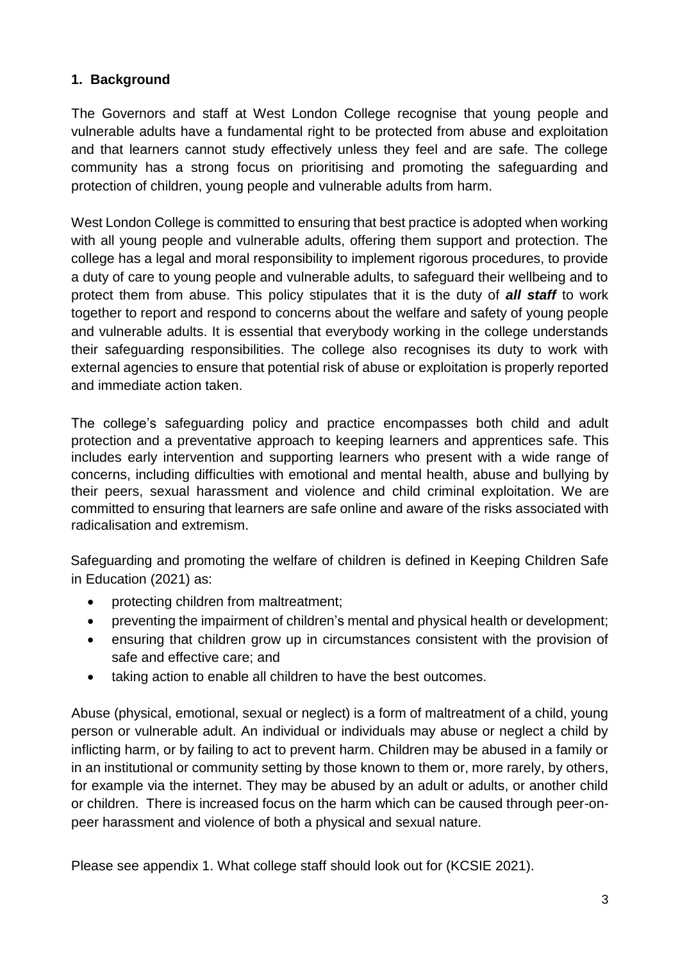# **1. Background**

The Governors and staff at West London College recognise that young people and vulnerable adults have a fundamental right to be protected from abuse and exploitation and that learners cannot study effectively unless they feel and are safe. The college community has a strong focus on prioritising and promoting the safeguarding and protection of children, young people and vulnerable adults from harm.

West London College is committed to ensuring that best practice is adopted when working with all young people and vulnerable adults, offering them support and protection. The college has a legal and moral responsibility to implement rigorous procedures, to provide a duty of care to young people and vulnerable adults, to safeguard their wellbeing and to protect them from abuse. This policy stipulates that it is the duty of *all staff* to work together to report and respond to concerns about the welfare and safety of young people and vulnerable adults. It is essential that everybody working in the college understands their safeguarding responsibilities. The college also recognises its duty to work with external agencies to ensure that potential risk of abuse or exploitation is properly reported and immediate action taken.

The college's safeguarding policy and practice encompasses both child and adult protection and a preventative approach to keeping learners and apprentices safe. This includes early intervention and supporting learners who present with a wide range of concerns, including difficulties with emotional and mental health, abuse and bullying by their peers, sexual harassment and violence and child criminal exploitation. We are committed to ensuring that learners are safe online and aware of the risks associated with radicalisation and extremism.

Safeguarding and promoting the welfare of children is defined in Keeping Children Safe in Education (2021) as:

- protecting children from maltreatment;
- preventing the impairment of children's mental and physical health or development;
- ensuring that children grow up in circumstances consistent with the provision of safe and effective care; and
- taking action to enable all children to have the best outcomes.

Abuse (physical, emotional, sexual or neglect) is a form of maltreatment of a child, young person or vulnerable adult. An individual or individuals may abuse or neglect a child by inflicting harm, or by failing to act to prevent harm. Children may be abused in a family or in an institutional or community setting by those known to them or, more rarely, by others, for example via the internet. They may be abused by an adult or adults, or another child or children. There is increased focus on the harm which can be caused through peer-onpeer harassment and violence of both a physical and sexual nature.

Please see appendix 1. What college staff should look out for (KCSIE 2021).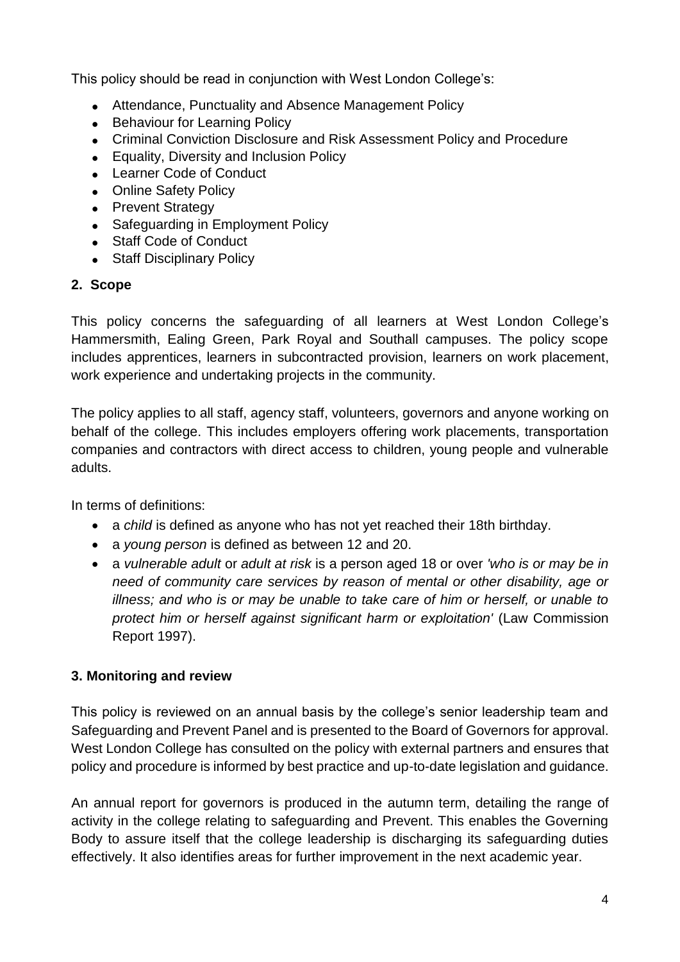This policy should be read in conjunction with West London College's:

- Attendance, Punctuality and Absence Management Policy
- Behaviour for Learning Policy
- Criminal Conviction Disclosure and Risk Assessment Policy and Procedure
- Equality, Diversity and Inclusion Policy
- Learner Code of Conduct
- Online Safety Policy
- Prevent Strategy
- Safeguarding in Employment Policy
- Staff Code of Conduct
- Staff Disciplinary Policy

# **2. Scope**

This policy concerns the safeguarding of all learners at West London College's Hammersmith, Ealing Green, Park Royal and Southall campuses. The policy scope includes apprentices, learners in subcontracted provision, learners on work placement, work experience and undertaking projects in the community.

The policy applies to all staff, agency staff, volunteers, governors and anyone working on behalf of the college. This includes employers offering work placements, transportation companies and contractors with direct access to children, young people and vulnerable adults.

In terms of definitions:

- a *child* is defined as anyone who has not yet reached their 18th birthday.
- a *young person* is defined as between 12 and 20.
- a *vulnerable adult* or *adult at risk* is a person aged 18 or over *'who is or may be in need of community care services by reason of mental or other disability, age or illness; and who is or may be unable to take care of him or herself, or unable to protect him or herself against significant harm or exploitation'* (Law Commission Report 1997).

# **3. Monitoring and review**

This policy is reviewed on an annual basis by the college's senior leadership team and Safeguarding and Prevent Panel and is presented to the Board of Governors for approval. West London College has consulted on the policy with external partners and ensures that policy and procedure is informed by best practice and up-to-date legislation and guidance.

An annual report for governors is produced in the autumn term, detailing the range of activity in the college relating to safeguarding and Prevent. This enables the Governing Body to assure itself that the college leadership is discharging its safeguarding duties effectively. It also identifies areas for further improvement in the next academic year.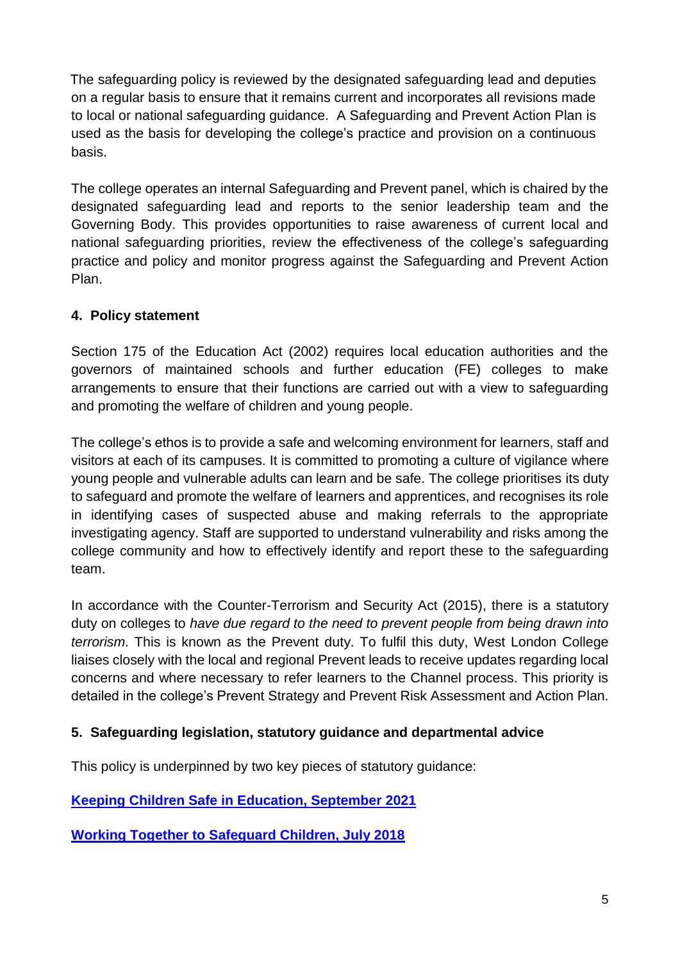The safeguarding policy is reviewed by the designated safeguarding lead and deputies on a regular basis to ensure that it remains current and incorporates all revisions made to local or national safeguarding guidance. A Safeguarding and Prevent Action Plan is used as the basis for developing the college's practice and provision on a continuous basis.

The college operates an internal Safeguarding and Prevent panel, which is chaired by the designated safeguarding lead and reports to the senior leadership team and the Governing Body. This provides opportunities to raise awareness of current local and national safeguarding priorities, review the effectiveness of the college's safeguarding practice and policy and monitor progress against the Safeguarding and Prevent Action Plan.

# **4. Policy statement**

Section 175 of the Education Act (2002) requires local education authorities and the governors of maintained schools and further education (FE) colleges to make arrangements to ensure that their functions are carried out with a view to safeguarding and promoting the welfare of children and young people.

The college's ethos is to provide a safe and welcoming environment for learners, staff and visitors at each of its campuses. It is committed to promoting a culture of vigilance where young people and vulnerable adults can learn and be safe. The college prioritises its duty to safeguard and promote the welfare of learners and apprentices, and recognises its role in identifying cases of suspected abuse and making referrals to the appropriate investigating agency. Staff are supported to understand vulnerability and risks among the college community and how to effectively identify and report these to the safeguarding team.

In accordance with the Counter-Terrorism and Security Act (2015), there is a statutory duty on colleges to *have due regard to the need to prevent people from being drawn into terrorism*. This is known as the Prevent duty. To fulfil this duty, West London College liaises closely with the local and regional Prevent leads to receive updates regarding local concerns and where necessary to refer learners to the Channel process. This priority is detailed in the college's Prevent Strategy and Prevent Risk Assessment and Action Plan.

# **5. Safeguarding legislation, statutory guidance and departmental advice**

This policy is underpinned by two key pieces of statutory guidance:

**[Keeping Children Safe in Education, September 2021](https://assets.publishing.service.gov.uk/government/uploads/system/uploads/attachment_data/file/1021914/KCSIE_2021_September_guidance.pdf)**

**[Working Together to Safeguard Children, July 2018](https://assets.publishing.service.gov.uk/government/uploads/system/uploads/attachment_data/file/942454/Working_together_to_safeguard_children_inter_agency_guidance.pdf)**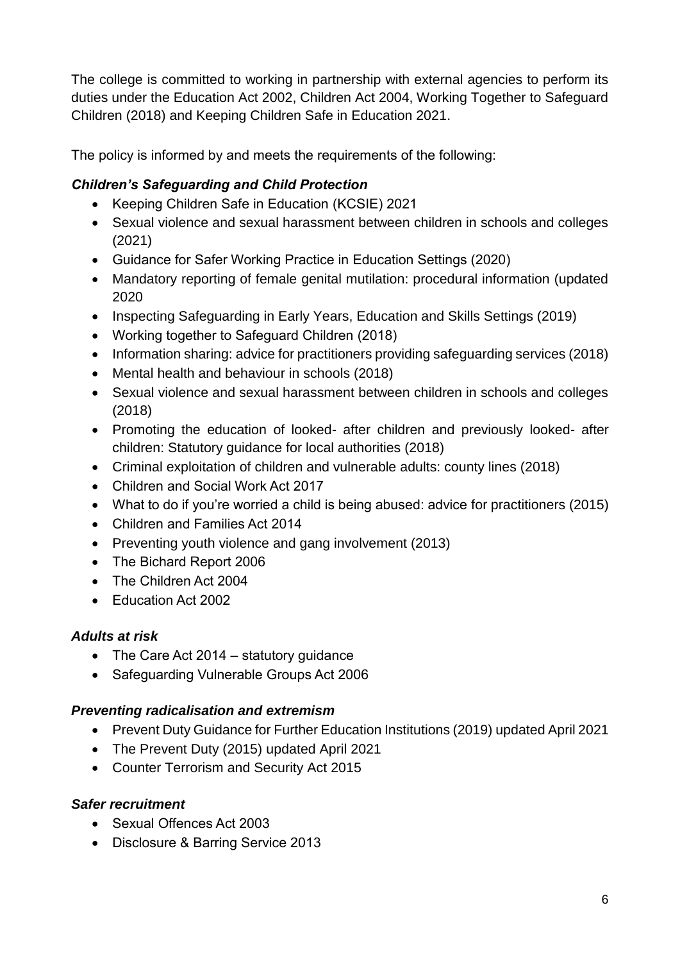The college is committed to working in partnership with external agencies to perform its duties under the Education Act 2002, Children Act 2004, Working Together to Safeguard Children (2018) and Keeping Children Safe in Education 2021.

The policy is informed by and meets the requirements of the following:

# *Children's Safeguarding and Child Protection*

- Keeping Children Safe in Education (KCSIE) 2021
- Sexual violence and sexual harassment between children in schools and colleges (2021)
- Guidance for Safer Working Practice in Education Settings (2020)
- Mandatory reporting of female genital mutilation: procedural information (updated 2020
- Inspecting Safeguarding in Early Years, Education and Skills Settings (2019)
- Working together to Safeguard Children (2018)
- Information sharing: advice for practitioners providing safeguarding services (2018)
- Mental health and behaviour in schools (2018)
- Sexual violence and sexual harassment between children in schools and colleges (2018)
- Promoting the education of looked- after children and previously looked- after children: Statutory guidance for local authorities (2018)
- Criminal exploitation of children and vulnerable adults: county lines (2018)
- Children and Social Work Act 2017
- What to do if you're worried a child is being abused: advice for practitioners (2015)
- Children and Families Act 2014
- Preventing youth violence and gang involvement (2013)
- The Bichard Report 2006
- The Children Act 2004
- Education Act 2002

# *Adults at risk*

- The Care Act 2014 statutory guidance
- Safeguarding Vulnerable Groups Act 2006

# *Preventing radicalisation and extremism*

- Prevent Duty Guidance for Further Education Institutions (2019) updated April 2021
- The Prevent Duty (2015) updated April 2021
- Counter Terrorism and Security Act 2015

# *Safer recruitment*

- Sexual Offences Act 2003
- Disclosure & Barring Service 2013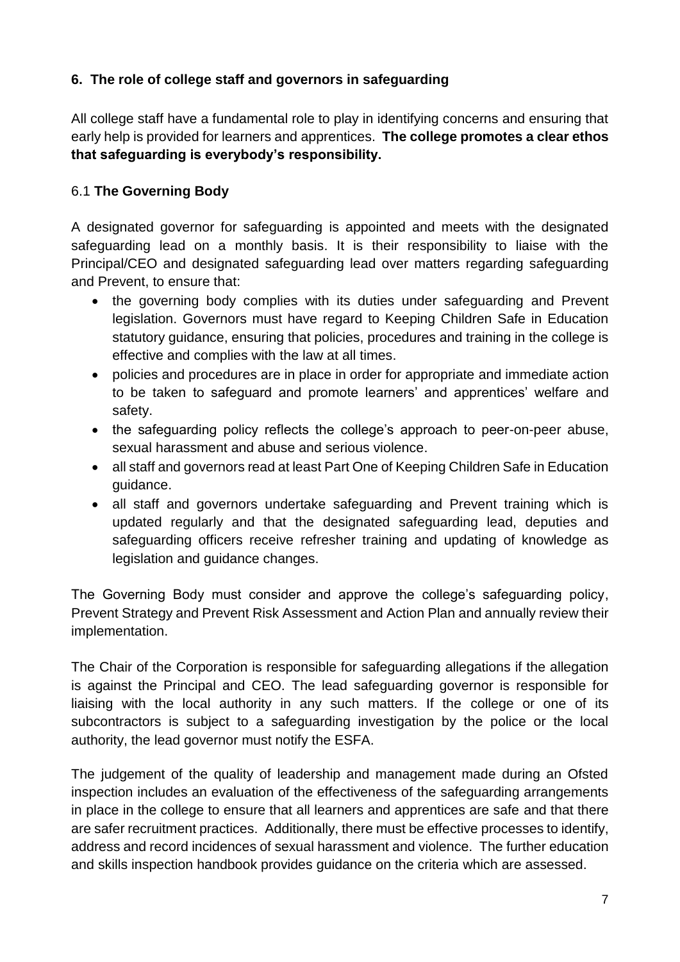# **6. The role of college staff and governors in safeguarding**

All college staff have a fundamental role to play in identifying concerns and ensuring that early help is provided for learners and apprentices. **The college promotes a clear ethos that safeguarding is everybody's responsibility.**

# 6.1 **The Governing Body**

A designated governor for safeguarding is appointed and meets with the designated safeguarding lead on a monthly basis. It is their responsibility to liaise with the Principal/CEO and designated safeguarding lead over matters regarding safeguarding and Prevent, to ensure that:

- the governing body complies with its duties under safeguarding and Prevent legislation. Governors must have regard to Keeping Children Safe in Education statutory guidance, ensuring that policies, procedures and training in the college is effective and complies with the law at all times.
- policies and procedures are in place in order for appropriate and immediate action to be taken to safeguard and promote learners' and apprentices' welfare and safety.
- the safeguarding policy reflects the college's approach to peer-on-peer abuse, sexual harassment and abuse and serious violence.
- all staff and governors read at least Part One of Keeping Children Safe in Education guidance.
- all staff and governors undertake safeguarding and Prevent training which is updated regularly and that the designated safeguarding lead, deputies and safeguarding officers receive refresher training and updating of knowledge as legislation and guidance changes.

The Governing Body must consider and approve the college's safeguarding policy, Prevent Strategy and Prevent Risk Assessment and Action Plan and annually review their implementation.

The Chair of the Corporation is responsible for safeguarding allegations if the allegation is against the Principal and CEO. The lead safeguarding governor is responsible for liaising with the local authority in any such matters. If the college or one of its subcontractors is subject to a safeguarding investigation by the police or the local authority, the lead governor must notify the ESFA.

The judgement of the quality of leadership and management made during an Ofsted inspection includes an evaluation of the effectiveness of the safeguarding arrangements in place in the college to ensure that all learners and apprentices are safe and that there are safer recruitment practices. Additionally, there must be effective processes to identify, address and record incidences of sexual harassment and violence. The further education and skills inspection handbook provides guidance on the criteria which are assessed.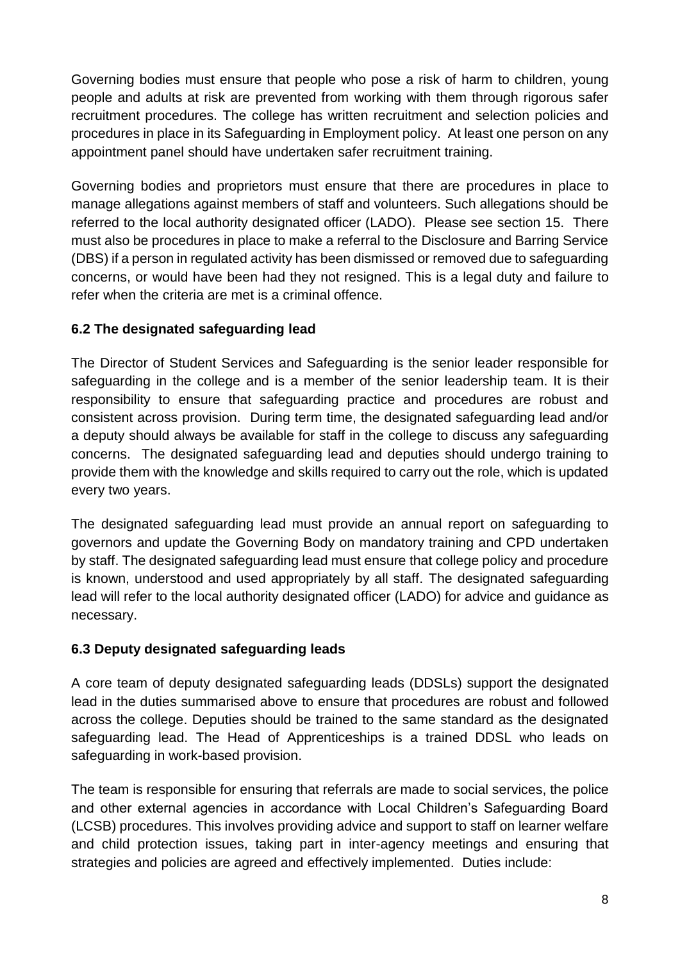Governing bodies must ensure that people who pose a risk of harm to children, young people and adults at risk are prevented from working with them through rigorous safer recruitment procedures. The college has written recruitment and selection policies and procedures in place in its Safeguarding in Employment policy. At least one person on any appointment panel should have undertaken safer recruitment training.

Governing bodies and proprietors must ensure that there are procedures in place to manage allegations against members of staff and volunteers. Such allegations should be referred to the local authority designated officer (LADO). Please see section 15. There must also be procedures in place to make a referral to the Disclosure and Barring Service (DBS) if a person in regulated activity has been dismissed or removed due to safeguarding concerns, or would have been had they not resigned. This is a legal duty and failure to refer when the criteria are met is a criminal offence.

# **6.2 The designated safeguarding lead**

The Director of Student Services and Safeguarding is the senior leader responsible for safeguarding in the college and is a member of the senior leadership team. It is their responsibility to ensure that safeguarding practice and procedures are robust and consistent across provision. During term time, the designated safeguarding lead and/or a deputy should always be available for staff in the college to discuss any safeguarding concerns. The designated safeguarding lead and deputies should undergo training to provide them with the knowledge and skills required to carry out the role, which is updated every two years.

The designated safeguarding lead must provide an annual report on safeguarding to governors and update the Governing Body on mandatory training and CPD undertaken by staff. The designated safeguarding lead must ensure that college policy and procedure is known, understood and used appropriately by all staff. The designated safeguarding lead will refer to the local authority designated officer (LADO) for advice and guidance as necessary.

# **6.3 Deputy designated safeguarding leads**

A core team of deputy designated safeguarding leads (DDSLs) support the designated lead in the duties summarised above to ensure that procedures are robust and followed across the college. Deputies should be trained to the same standard as the designated safeguarding lead. The Head of Apprenticeships is a trained DDSL who leads on safeguarding in work-based provision.

The team is responsible for ensuring that referrals are made to social services, the police and other external agencies in accordance with Local Children's Safeguarding Board (LCSB) procedures. This involves providing advice and support to staff on learner welfare and child protection issues, taking part in inter-agency meetings and ensuring that strategies and policies are agreed and effectively implemented. Duties include: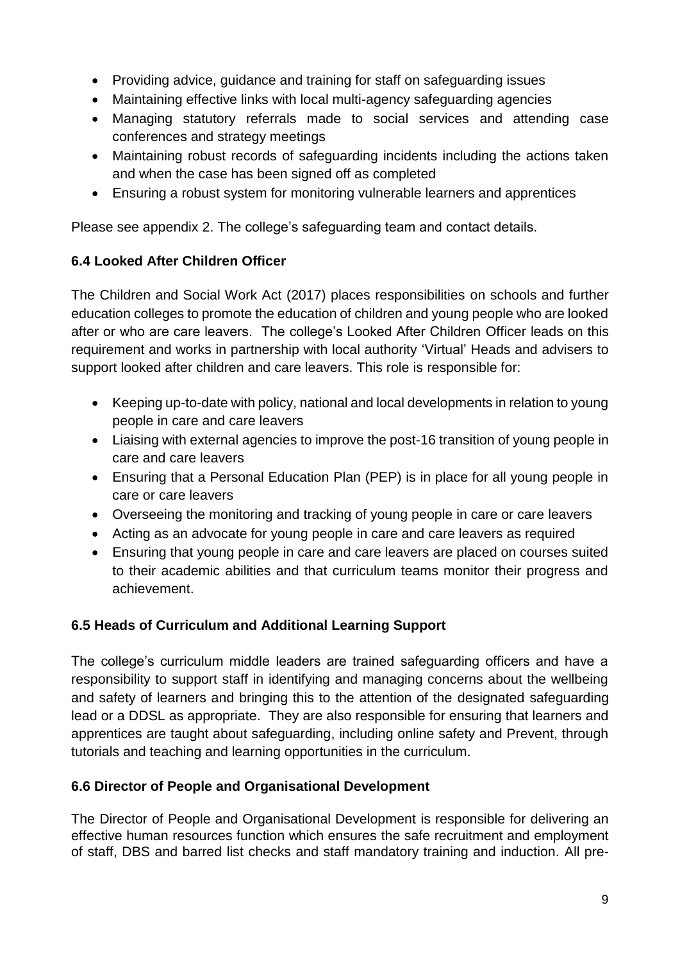- Providing advice, guidance and training for staff on safeguarding issues
- Maintaining effective links with local multi-agency safeguarding agencies
- Managing statutory referrals made to social services and attending case conferences and strategy meetings
- Maintaining robust records of safeguarding incidents including the actions taken and when the case has been signed off as completed
- Ensuring a robust system for monitoring vulnerable learners and apprentices

Please see appendix 2. The college's safeguarding team and contact details.

# **6.4 Looked After Children Officer**

The Children and Social Work Act (2017) places responsibilities on schools and further education colleges to promote the education of children and young people who are looked after or who are care leavers. The college's Looked After Children Officer leads on this requirement and works in partnership with local authority 'Virtual' Heads and advisers to support looked after children and care leavers. This role is responsible for:

- Keeping up-to-date with policy, national and local developments in relation to young people in care and care leavers
- Liaising with external agencies to improve the post-16 transition of young people in care and care leavers
- Ensuring that a Personal Education Plan (PEP) is in place for all young people in care or care leavers
- Overseeing the monitoring and tracking of young people in care or care leavers
- Acting as an advocate for young people in care and care leavers as required
- Ensuring that young people in care and care leavers are placed on courses suited to their academic abilities and that curriculum teams monitor their progress and achievement.

# **6.5 Heads of Curriculum and Additional Learning Support**

The college's curriculum middle leaders are trained safeguarding officers and have a responsibility to support staff in identifying and managing concerns about the wellbeing and safety of learners and bringing this to the attention of the designated safeguarding lead or a DDSL as appropriate. They are also responsible for ensuring that learners and apprentices are taught about safeguarding, including online safety and Prevent, through tutorials and teaching and learning opportunities in the curriculum.

# **6.6 Director of People and Organisational Development**

The Director of People and Organisational Development is responsible for delivering an effective human resources function which ensures the safe recruitment and employment of staff, DBS and barred list checks and staff mandatory training and induction. All pre-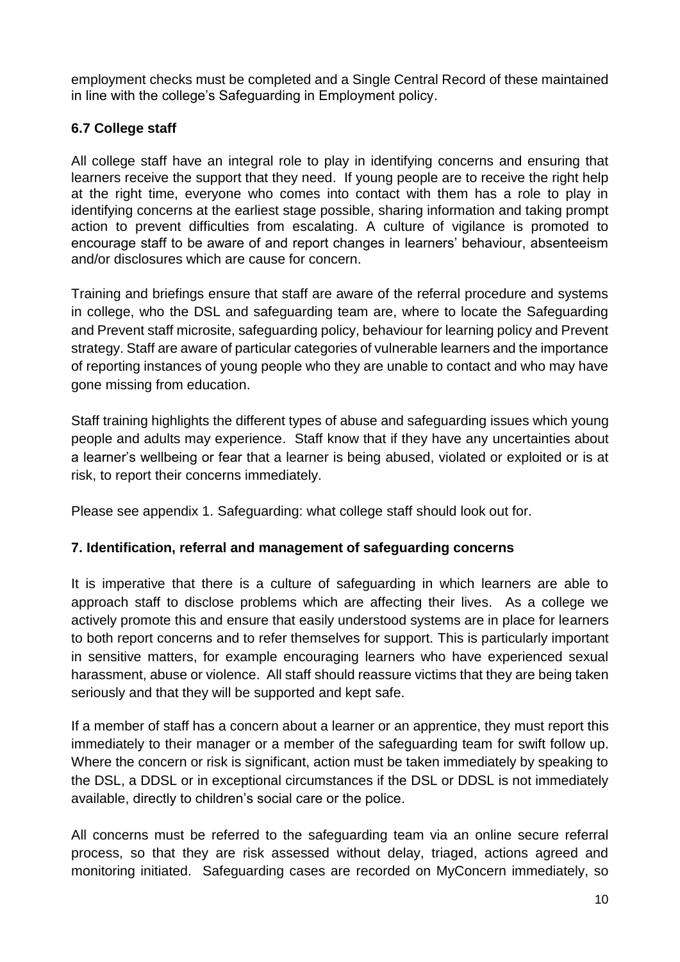employment checks must be completed and a Single Central Record of these maintained in line with the college's Safeguarding in Employment policy.

# **6.7 College staff**

All college staff have an integral role to play in identifying concerns and ensuring that learners receive the support that they need. If young people are to receive the right help at the right time, everyone who comes into contact with them has a role to play in identifying concerns at the earliest stage possible, sharing information and taking prompt action to prevent difficulties from escalating. A culture of vigilance is promoted to encourage staff to be aware of and report changes in learners' behaviour, absenteeism and/or disclosures which are cause for concern.

Training and briefings ensure that staff are aware of the referral procedure and systems in college, who the DSL and safeguarding team are, where to locate the Safeguarding and Prevent staff microsite, safeguarding policy, behaviour for learning policy and Prevent strategy. Staff are aware of particular categories of vulnerable learners and the importance of reporting instances of young people who they are unable to contact and who may have gone missing from education.

Staff training highlights the different types of abuse and safeguarding issues which young people and adults may experience. Staff know that if they have any uncertainties about a learner's wellbeing or fear that a learner is being abused, violated or exploited or is at risk, to report their concerns immediately.

Please see appendix 1. Safeguarding: what college staff should look out for.

# **7. Identification, referral and management of safeguarding concerns**

It is imperative that there is a culture of safeguarding in which learners are able to approach staff to disclose problems which are affecting their lives. As a college we actively promote this and ensure that easily understood systems are in place for learners to both report concerns and to refer themselves for support. This is particularly important in sensitive matters, for example encouraging learners who have experienced sexual harassment, abuse or violence. All staff should reassure victims that they are being taken seriously and that they will be supported and kept safe.

If a member of staff has a concern about a learner or an apprentice, they must report this immediately to their manager or a member of the safeguarding team for swift follow up. Where the concern or risk is significant, action must be taken immediately by speaking to the DSL, a DDSL or in exceptional circumstances if the DSL or DDSL is not immediately available, directly to children's social care or the police.

All concerns must be referred to the safeguarding team via an online secure referral process, so that they are risk assessed without delay, triaged, actions agreed and monitoring initiated. Safeguarding cases are recorded on MyConcern immediately, so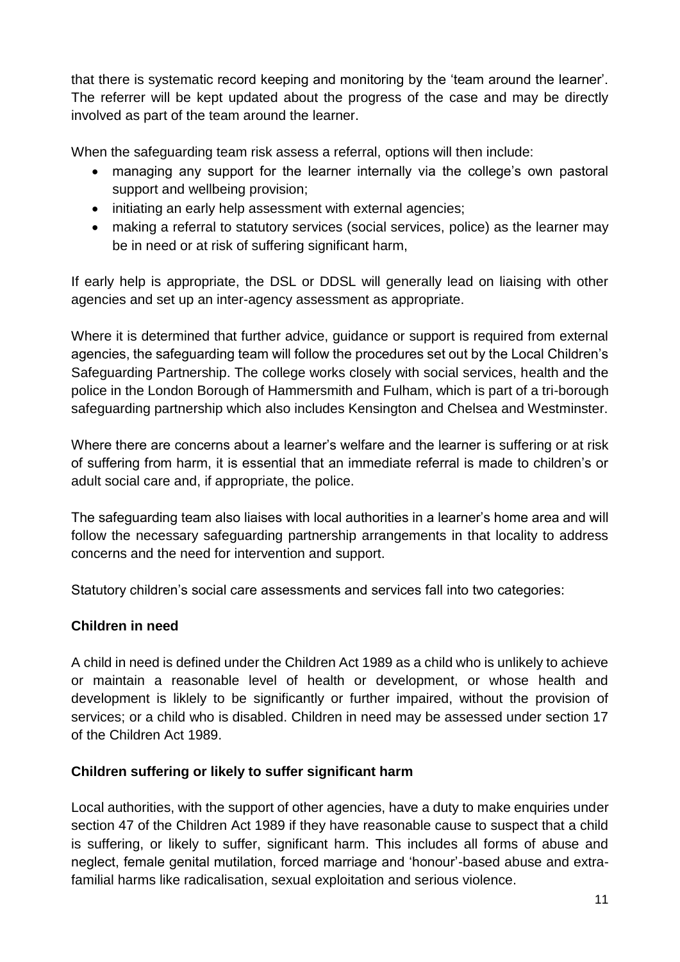that there is systematic record keeping and monitoring by the 'team around the learner'. The referrer will be kept updated about the progress of the case and may be directly involved as part of the team around the learner.

When the safeguarding team risk assess a referral, options will then include:

- managing any support for the learner internally via the college's own pastoral support and wellbeing provision;
- initiating an early help assessment with external agencies;
- making a referral to statutory services (social services, police) as the learner may be in need or at risk of suffering significant harm,

If early help is appropriate, the DSL or DDSL will generally lead on liaising with other agencies and set up an inter-agency assessment as appropriate.

Where it is determined that further advice, guidance or support is required from external agencies, the safeguarding team will follow the procedures set out by the Local Children's Safeguarding Partnership. The college works closely with social services, health and the police in the London Borough of Hammersmith and Fulham, which is part of a tri-borough safeguarding partnership which also includes Kensington and Chelsea and Westminster.

Where there are concerns about a learner's welfare and the learner is suffering or at risk of suffering from harm, it is essential that an immediate referral is made to children's or adult social care and, if appropriate, the police.

The safeguarding team also liaises with local authorities in a learner's home area and will follow the necessary safeguarding partnership arrangements in that locality to address concerns and the need for intervention and support.

Statutory children's social care assessments and services fall into two categories:

# **Children in need**

A child in need is defined under the Children Act 1989 as a child who is unlikely to achieve or maintain a reasonable level of health or development, or whose health and development is liklely to be significantly or further impaired, without the provision of services; or a child who is disabled. Children in need may be assessed under section 17 of the Children Act 1989.

# **Children suffering or likely to suffer significant harm**

Local authorities, with the support of other agencies, have a duty to make enquiries under section 47 of the Children Act 1989 if they have reasonable cause to suspect that a child is suffering, or likely to suffer, significant harm. This includes all forms of abuse and neglect, female genital mutilation, forced marriage and 'honour'-based abuse and extrafamilial harms like radicalisation, sexual exploitation and serious violence.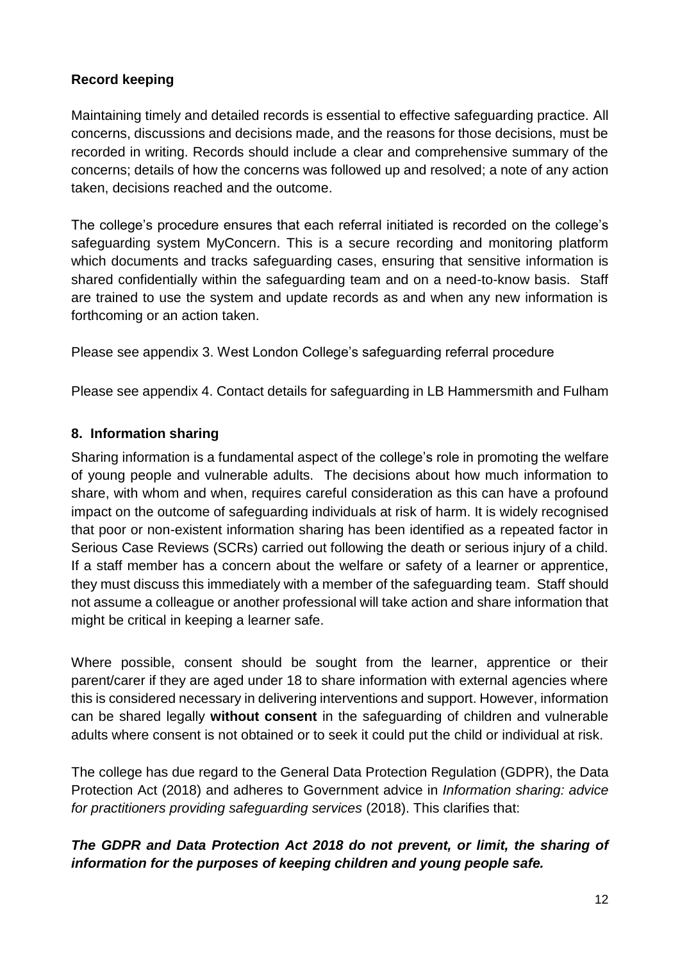# **Record keeping**

Maintaining timely and detailed records is essential to effective safeguarding practice. All concerns, discussions and decisions made, and the reasons for those decisions, must be recorded in writing. Records should include a clear and comprehensive summary of the concerns; details of how the concerns was followed up and resolved; a note of any action taken, decisions reached and the outcome.

The college's procedure ensures that each referral initiated is recorded on the college's safeguarding system MyConcern. This is a secure recording and monitoring platform which documents and tracks safeguarding cases, ensuring that sensitive information is shared confidentially within the safeguarding team and on a need-to-know basis. Staff are trained to use the system and update records as and when any new information is forthcoming or an action taken.

Please see appendix 3. West London College's safeguarding referral procedure

Please see appendix 4. Contact details for safeguarding in LB Hammersmith and Fulham

#### **8. Information sharing**

Sharing information is a fundamental aspect of the college's role in promoting the welfare of young people and vulnerable adults. The decisions about how much information to share, with whom and when, requires careful consideration as this can have a profound impact on the outcome of safeguarding individuals at risk of harm. It is widely recognised that poor or non-existent information sharing has been identified as a repeated factor in Serious Case Reviews (SCRs) carried out following the death or serious injury of a child. If a staff member has a concern about the welfare or safety of a learner or apprentice, they must discuss this immediately with a member of the safeguarding team. Staff should not assume a colleague or another professional will take action and share information that might be critical in keeping a learner safe.

Where possible, consent should be sought from the learner, apprentice or their parent/carer if they are aged under 18 to share information with external agencies where this is considered necessary in delivering interventions and support. However, information can be shared legally **without consent** in the safeguarding of children and vulnerable adults where consent is not obtained or to seek it could put the child or individual at risk.

The college has due regard to the General Data Protection Regulation (GDPR), the Data Protection Act (2018) and adheres to Government advice in *Information sharing: advice for practitioners providing safeguarding services* (2018). This clarifies that:

# *The GDPR and Data Protection Act 2018 do not prevent, or limit, the sharing of information for the purposes of keeping children and young people safe.*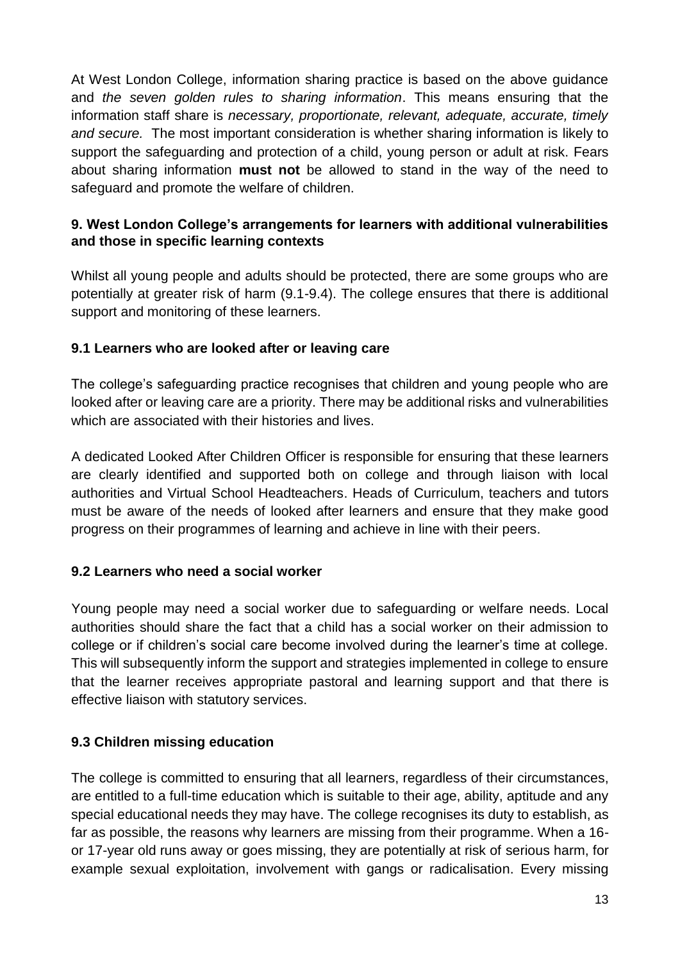At West London College, information sharing practice is based on the above guidance and *the seven golden rules to sharing information*. This means ensuring that the information staff share is *necessary, proportionate, relevant, adequate, accurate, timely and secure.* The most important consideration is whether sharing information is likely to support the safeguarding and protection of a child, young person or adult at risk. Fears about sharing information **must not** be allowed to stand in the way of the need to safeguard and promote the welfare of children.

# **9. West London College's arrangements for learners with additional vulnerabilities and those in specific learning contexts**

Whilst all young people and adults should be protected, there are some groups who are potentially at greater risk of harm (9.1-9.4). The college ensures that there is additional support and monitoring of these learners.

# **9.1 Learners who are looked after or leaving care**

The college's safeguarding practice recognises that children and young people who are looked after or leaving care are a priority. There may be additional risks and vulnerabilities which are associated with their histories and lives.

A dedicated Looked After Children Officer is responsible for ensuring that these learners are clearly identified and supported both on college and through liaison with local authorities and Virtual School Headteachers. Heads of Curriculum, teachers and tutors must be aware of the needs of looked after learners and ensure that they make good progress on their programmes of learning and achieve in line with their peers.

# **9.2 Learners who need a social worker**

Young people may need a social worker due to safeguarding or welfare needs. Local authorities should share the fact that a child has a social worker on their admission to college or if children's social care become involved during the learner's time at college. This will subsequently inform the support and strategies implemented in college to ensure that the learner receives appropriate pastoral and learning support and that there is effective liaison with statutory services.

# **9.3 Children missing education**

The college is committed to ensuring that all learners, regardless of their circumstances, are entitled to a full-time education which is suitable to their age, ability, aptitude and any special educational needs they may have. The college recognises its duty to establish, as far as possible, the reasons why learners are missing from their programme. When a 16 or 17-year old runs away or goes missing, they are potentially at risk of serious harm, for example sexual exploitation, involvement with gangs or radicalisation. Every missing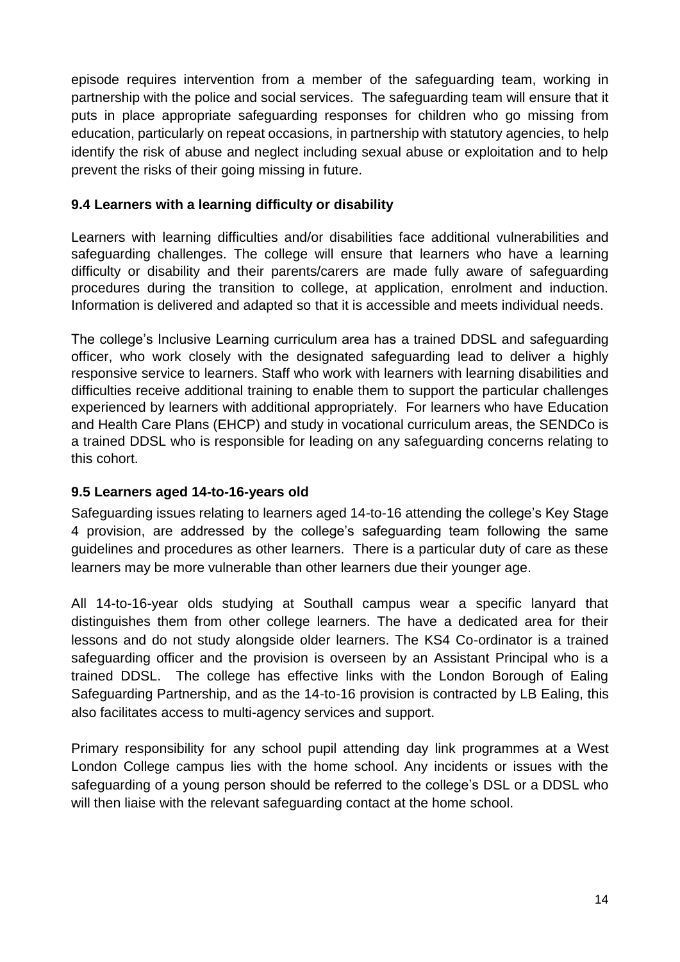episode requires intervention from a member of the safeguarding team, working in partnership with the police and social services. The safeguarding team will ensure that it puts in place appropriate safeguarding responses for children who go missing from education, particularly on repeat occasions, in partnership with statutory agencies, to help identify the risk of abuse and neglect including sexual abuse or exploitation and to help prevent the risks of their going missing in future.

# **9.4 Learners with a learning difficulty or disability**

Learners with learning difficulties and/or disabilities face additional vulnerabilities and safeguarding challenges. The college will ensure that learners who have a learning difficulty or disability and their parents/carers are made fully aware of safeguarding procedures during the transition to college, at application, enrolment and induction. Information is delivered and adapted so that it is accessible and meets individual needs.

The college's Inclusive Learning curriculum area has a trained DDSL and safeguarding officer, who work closely with the designated safeguarding lead to deliver a highly responsive service to learners. Staff who work with learners with learning disabilities and difficulties receive additional training to enable them to support the particular challenges experienced by learners with additional appropriately. For learners who have Education and Health Care Plans (EHCP) and study in vocational curriculum areas, the SENDCo is a trained DDSL who is responsible for leading on any safeguarding concerns relating to this cohort.

# **9.5 Learners aged 14-to-16-years old**

Safeguarding issues relating to learners aged 14-to-16 attending the college's Key Stage 4 provision, are addressed by the college's safeguarding team following the same guidelines and procedures as other learners. There is a particular duty of care as these learners may be more vulnerable than other learners due their younger age.

All 14-to-16-year olds studying at Southall campus wear a specific lanyard that distinguishes them from other college learners. The have a dedicated area for their lessons and do not study alongside older learners. The KS4 Co-ordinator is a trained safeguarding officer and the provision is overseen by an Assistant Principal who is a trained DDSL. The college has effective links with the London Borough of Ealing Safeguarding Partnership, and as the 14-to-16 provision is contracted by LB Ealing, this also facilitates access to multi-agency services and support.

Primary responsibility for any school pupil attending day link programmes at a West London College campus lies with the home school. Any incidents or issues with the safeguarding of a young person should be referred to the college's DSL or a DDSL who will then liaise with the relevant safeguarding contact at the home school.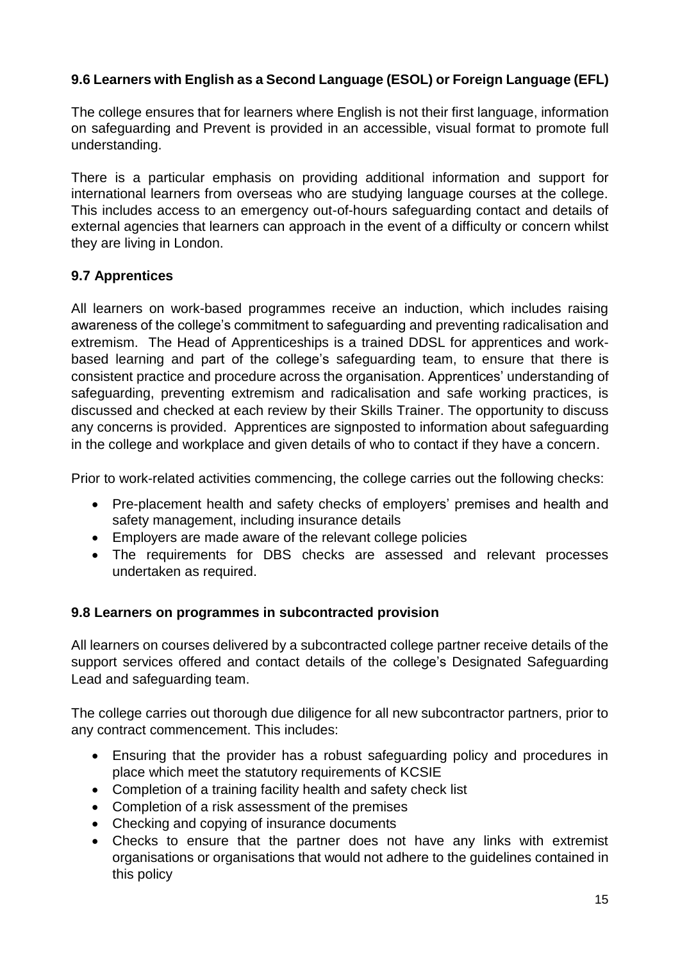# **9.6 Learners with English as a Second Language (ESOL) or Foreign Language (EFL)**

The college ensures that for learners where English is not their first language, information on safeguarding and Prevent is provided in an accessible, visual format to promote full understanding.

There is a particular emphasis on providing additional information and support for international learners from overseas who are studying language courses at the college. This includes access to an emergency out-of-hours safeguarding contact and details of external agencies that learners can approach in the event of a difficulty or concern whilst they are living in London.

# **9.7 Apprentices**

All learners on work-based programmes receive an induction, which includes raising awareness of the college's commitment to safeguarding and preventing radicalisation and extremism. The Head of Apprenticeships is a trained DDSL for apprentices and workbased learning and part of the college's safeguarding team, to ensure that there is consistent practice and procedure across the organisation. Apprentices' understanding of safeguarding, preventing extremism and radicalisation and safe working practices, is discussed and checked at each review by their Skills Trainer. The opportunity to discuss any concerns is provided. Apprentices are signposted to information about safeguarding in the college and workplace and given details of who to contact if they have a concern.

Prior to work-related activities commencing, the college carries out the following checks:

- Pre-placement health and safety checks of employers' premises and health and safety management, including insurance details
- Employers are made aware of the relevant college policies
- The requirements for DBS checks are assessed and relevant processes undertaken as required.

# **9.8 Learners on programmes in subcontracted provision**

All learners on courses delivered by a subcontracted college partner receive details of the support services offered and contact details of the college's Designated Safeguarding Lead and safeguarding team.

The college carries out thorough due diligence for all new subcontractor partners, prior to any contract commencement. This includes:

- Ensuring that the provider has a robust safeguarding policy and procedures in place which meet the statutory requirements of KCSIE
- Completion of a training facility health and safety check list
- Completion of a risk assessment of the premises
- Checking and copying of insurance documents
- Checks to ensure that the partner does not have any links with extremist organisations or organisations that would not adhere to the guidelines contained in this policy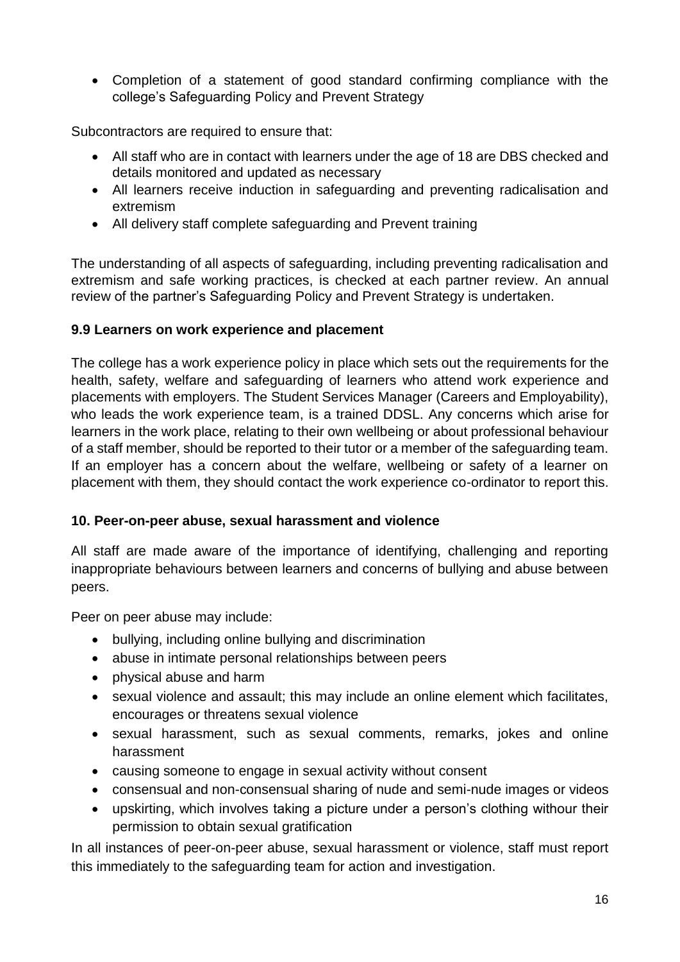• Completion of a statement of good standard confirming compliance with the college's Safeguarding Policy and Prevent Strategy

Subcontractors are required to ensure that:

- All staff who are in contact with learners under the age of 18 are DBS checked and details monitored and updated as necessary
- All learners receive induction in safeguarding and preventing radicalisation and extremism
- All delivery staff complete safeguarding and Prevent training

The understanding of all aspects of safeguarding, including preventing radicalisation and extremism and safe working practices, is checked at each partner review. An annual review of the partner's Safeguarding Policy and Prevent Strategy is undertaken.

#### **9.9 Learners on work experience and placement**

The college has a work experience policy in place which sets out the requirements for the health, safety, welfare and safeguarding of learners who attend work experience and placements with employers. The Student Services Manager (Careers and Employability), who leads the work experience team, is a trained DDSL. Any concerns which arise for learners in the work place, relating to their own wellbeing or about professional behaviour of a staff member, should be reported to their tutor or a member of the safeguarding team. If an employer has a concern about the welfare, wellbeing or safety of a learner on placement with them, they should contact the work experience co-ordinator to report this.

#### **10. Peer-on-peer abuse, sexual harassment and violence**

All staff are made aware of the importance of identifying, challenging and reporting inappropriate behaviours between learners and concerns of bullying and abuse between peers.

Peer on peer abuse may include:

- bullying, including online bullying and discrimination
- abuse in intimate personal relationships between peers
- physical abuse and harm
- sexual violence and assault; this may include an online element which facilitates, encourages or threatens sexual violence
- sexual harassment, such as sexual comments, remarks, jokes and online harassment
- causing someone to engage in sexual activity without consent
- consensual and non-consensual sharing of nude and semi-nude images or videos
- upskirting, which involves taking a picture under a person's clothing withour their permission to obtain sexual gratification

In all instances of peer-on-peer abuse, sexual harassment or violence, staff must report this immediately to the safeguarding team for action and investigation.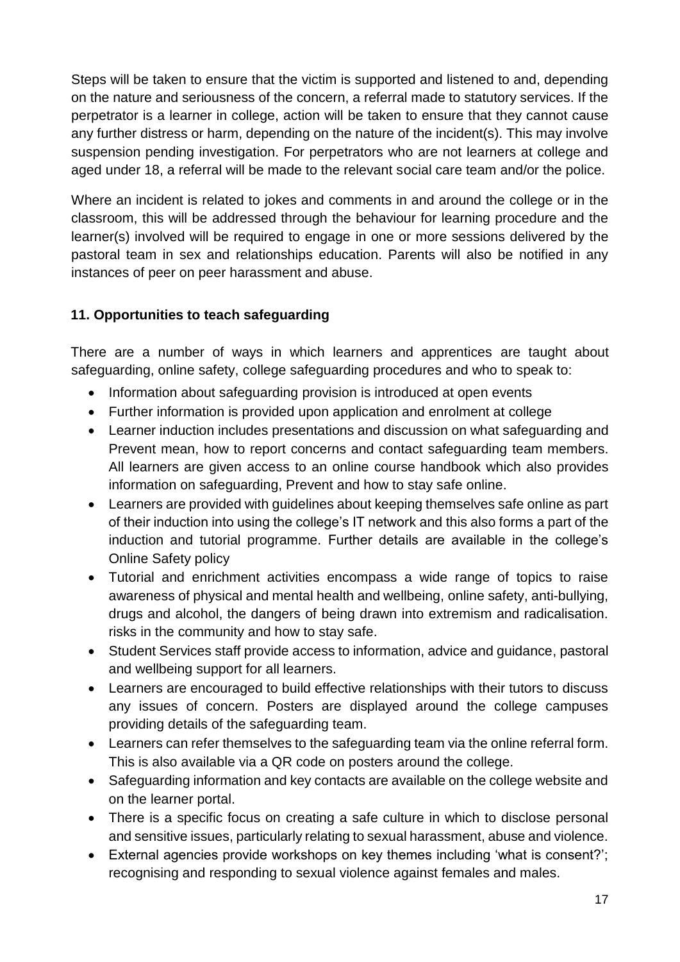Steps will be taken to ensure that the victim is supported and listened to and, depending on the nature and seriousness of the concern, a referral made to statutory services. If the perpetrator is a learner in college, action will be taken to ensure that they cannot cause any further distress or harm, depending on the nature of the incident(s). This may involve suspension pending investigation. For perpetrators who are not learners at college and aged under 18, a referral will be made to the relevant social care team and/or the police.

Where an incident is related to jokes and comments in and around the college or in the classroom, this will be addressed through the behaviour for learning procedure and the learner(s) involved will be required to engage in one or more sessions delivered by the pastoral team in sex and relationships education. Parents will also be notified in any instances of peer on peer harassment and abuse.

# **11. Opportunities to teach safeguarding**

There are a number of ways in which learners and apprentices are taught about safeguarding, online safety, college safeguarding procedures and who to speak to:

- Information about safeguarding provision is introduced at open events
- Further information is provided upon application and enrolment at college
- Learner induction includes presentations and discussion on what safeguarding and Prevent mean, how to report concerns and contact safeguarding team members. All learners are given access to an online course handbook which also provides information on safeguarding, Prevent and how to stay safe online.
- Learners are provided with guidelines about keeping themselves safe online as part of their induction into using the college's IT network and this also forms a part of the induction and tutorial programme. Further details are available in the college's Online Safety policy
- Tutorial and enrichment activities encompass a wide range of topics to raise awareness of physical and mental health and wellbeing, online safety, anti-bullying, drugs and alcohol, the dangers of being drawn into extremism and radicalisation. risks in the community and how to stay safe.
- Student Services staff provide access to information, advice and guidance, pastoral and wellbeing support for all learners.
- Learners are encouraged to build effective relationships with their tutors to discuss any issues of concern. Posters are displayed around the college campuses providing details of the safeguarding team.
- Learners can refer themselves to the safeguarding team via the online referral form. This is also available via a QR code on posters around the college.
- Safeguarding information and key contacts are available on the college website and on the learner portal.
- There is a specific focus on creating a safe culture in which to disclose personal and sensitive issues, particularly relating to sexual harassment, abuse and violence.
- External agencies provide workshops on key themes including 'what is consent?'; recognising and responding to sexual violence against females and males.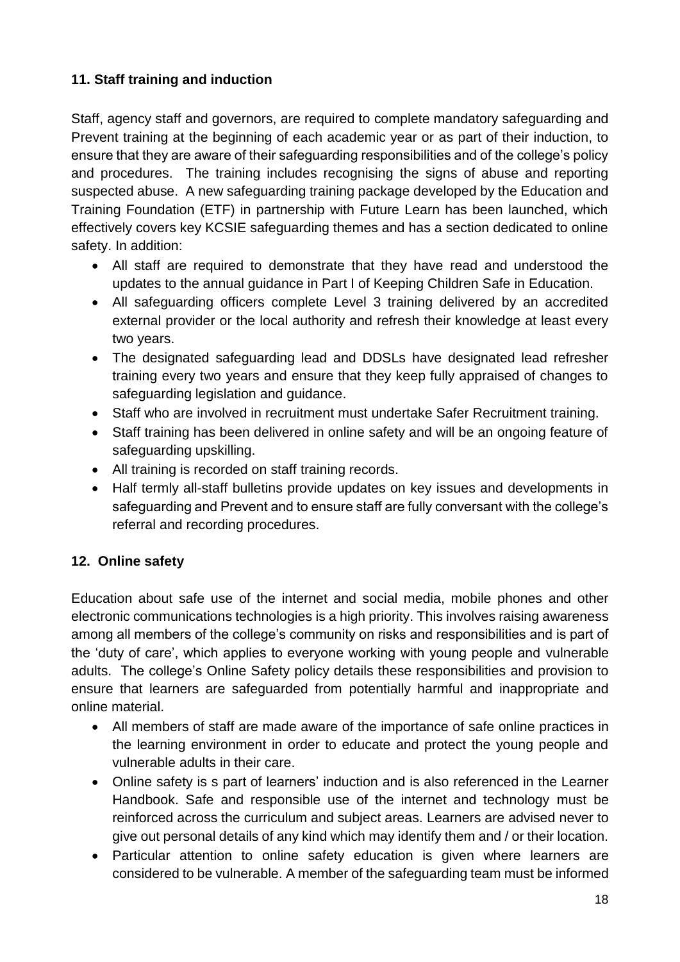# **11. Staff training and induction**

Staff, agency staff and governors, are required to complete mandatory safeguarding and Prevent training at the beginning of each academic year or as part of their induction, to ensure that they are aware of their safeguarding responsibilities and of the college's policy and procedures. The training includes recognising the signs of abuse and reporting suspected abuse. A new safeguarding training package developed by the Education and Training Foundation (ETF) in partnership with Future Learn has been launched, which effectively covers key KCSIE safeguarding themes and has a section dedicated to online safety. In addition:

- All staff are required to demonstrate that they have read and understood the updates to the annual guidance in Part I of Keeping Children Safe in Education.
- All safeguarding officers complete Level 3 training delivered by an accredited external provider or the local authority and refresh their knowledge at least every two years.
- The designated safeguarding lead and DDSLs have designated lead refresher training every two years and ensure that they keep fully appraised of changes to safeguarding legislation and guidance.
- Staff who are involved in recruitment must undertake Safer Recruitment training.
- Staff training has been delivered in online safety and will be an ongoing feature of safeguarding upskilling.
- All training is recorded on staff training records.
- Half termly all-staff bulletins provide updates on key issues and developments in safeguarding and Prevent and to ensure staff are fully conversant with the college's referral and recording procedures.

# **12. Online safety**

Education about safe use of the internet and social media, mobile phones and other electronic communications technologies is a high priority. This involves raising awareness among all members of the college's community on risks and responsibilities and is part of the 'duty of care', which applies to everyone working with young people and vulnerable adults. The college's Online Safety policy details these responsibilities and provision to ensure that learners are safeguarded from potentially harmful and inappropriate and online material.

- All members of staff are made aware of the importance of safe online practices in the learning environment in order to educate and protect the young people and vulnerable adults in their care.
- Online safety is s part of learners' induction and is also referenced in the Learner Handbook. Safe and responsible use of the internet and technology must be reinforced across the curriculum and subject areas. Learners are advised never to give out personal details of any kind which may identify them and / or their location.
- Particular attention to online safety education is given where learners are considered to be vulnerable. A member of the safeguarding team must be informed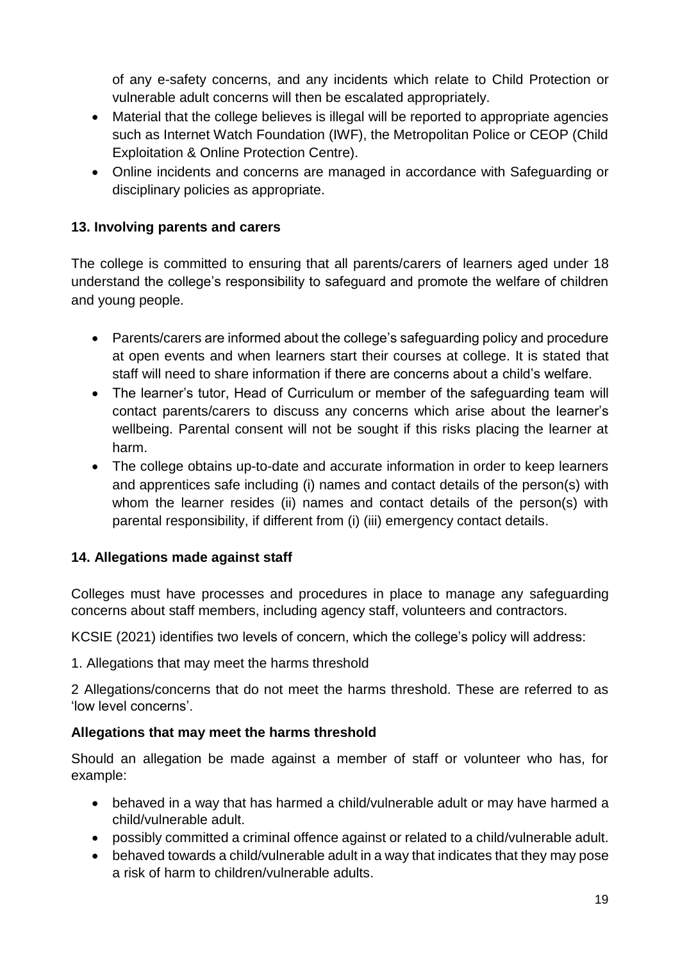of any e-safety concerns, and any incidents which relate to Child Protection or vulnerable adult concerns will then be escalated appropriately.

- Material that the college believes is illegal will be reported to appropriate agencies such as Internet Watch Foundation (IWF), the Metropolitan Police or CEOP (Child Exploitation & Online Protection Centre).
- Online incidents and concerns are managed in accordance with Safeguarding or disciplinary policies as appropriate.

# **13. Involving parents and carers**

The college is committed to ensuring that all parents/carers of learners aged under 18 understand the college's responsibility to safeguard and promote the welfare of children and young people.

- Parents/carers are informed about the college's safeguarding policy and procedure at open events and when learners start their courses at college. It is stated that staff will need to share information if there are concerns about a child's welfare.
- The learner's tutor, Head of Curriculum or member of the safeguarding team will contact parents/carers to discuss any concerns which arise about the learner's wellbeing. Parental consent will not be sought if this risks placing the learner at harm.
- The college obtains up-to-date and accurate information in order to keep learners and apprentices safe including (i) names and contact details of the person(s) with whom the learner resides (ii) names and contact details of the person(s) with parental responsibility, if different from (i) (iii) emergency contact details.

# **14. Allegations made against staff**

Colleges must have processes and procedures in place to manage any safeguarding concerns about staff members, including agency staff, volunteers and contractors.

KCSIE (2021) identifies two levels of concern, which the college's policy will address:

1. Allegations that may meet the harms threshold

2 Allegations/concerns that do not meet the harms threshold. These are referred to as 'low level concerns'.

# **Allegations that may meet the harms threshold**

Should an allegation be made against a member of staff or volunteer who has, for example:

- behaved in a way that has harmed a child/vulnerable adult or may have harmed a child/vulnerable adult.
- possibly committed a criminal offence against or related to a child/vulnerable adult.
- behaved towards a child/vulnerable adult in a way that indicates that they may pose a risk of harm to children/vulnerable adults.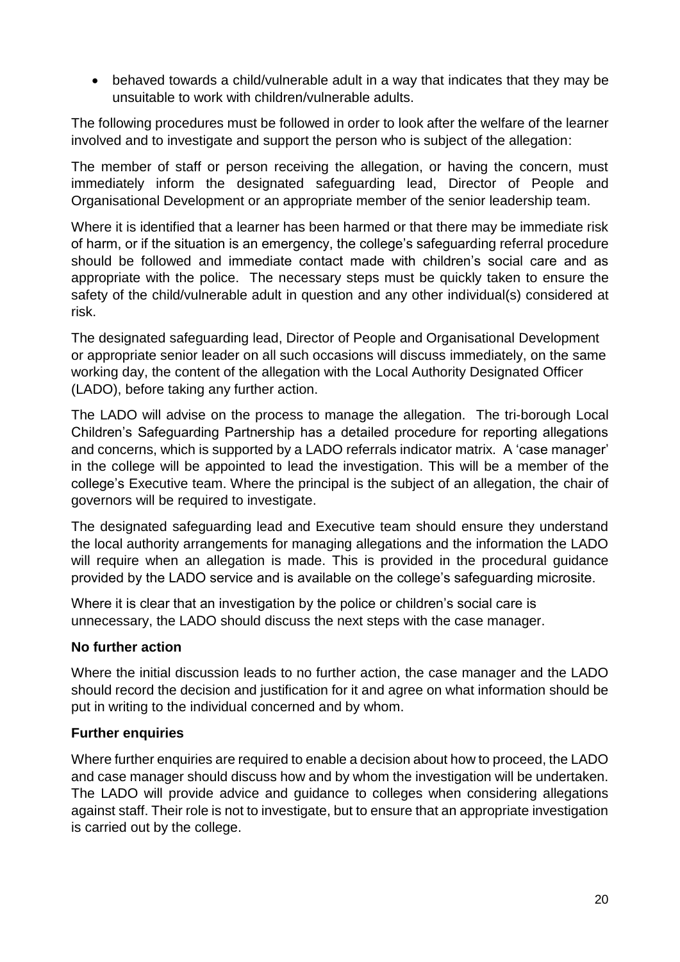• behaved towards a child/vulnerable adult in a way that indicates that they may be unsuitable to work with children/vulnerable adults.

The following procedures must be followed in order to look after the welfare of the learner involved and to investigate and support the person who is subject of the allegation:

The member of staff or person receiving the allegation, or having the concern, must immediately inform the designated safeguarding lead, Director of People and Organisational Development or an appropriate member of the senior leadership team.

Where it is identified that a learner has been harmed or that there may be immediate risk of harm, or if the situation is an emergency, the college's safeguarding referral procedure should be followed and immediate contact made with children's social care and as appropriate with the police. The necessary steps must be quickly taken to ensure the safety of the child/vulnerable adult in question and any other individual(s) considered at risk.

The designated safeguarding lead, Director of People and Organisational Development or appropriate senior leader on all such occasions will discuss immediately, on the same working day, the content of the allegation with the Local Authority Designated Officer (LADO), before taking any further action.

The LADO will advise on the process to manage the allegation. The tri-borough Local Children's Safeguarding Partnership has a detailed procedure for reporting allegations and concerns, which is supported by a LADO referrals indicator matrix. A 'case manager' in the college will be appointed to lead the investigation. This will be a member of the college's Executive team. Where the principal is the subject of an allegation, the chair of governors will be required to investigate.

The designated safeguarding lead and Executive team should ensure they understand the local authority arrangements for managing allegations and the information the LADO will require when an allegation is made. This is provided in the procedural quidance provided by the LADO service and is available on the college's safeguarding microsite.

Where it is clear that an investigation by the police or children's social care is unnecessary, the LADO should discuss the next steps with the case manager.

# **No further action**

Where the initial discussion leads to no further action, the case manager and the LADO should record the decision and justification for it and agree on what information should be put in writing to the individual concerned and by whom.

# **Further enquiries**

Where further enquiries are required to enable a decision about how to proceed, the LADO and case manager should discuss how and by whom the investigation will be undertaken. The LADO will provide advice and guidance to colleges when considering allegations against staff. Their role is not to investigate, but to ensure that an appropriate investigation is carried out by the college.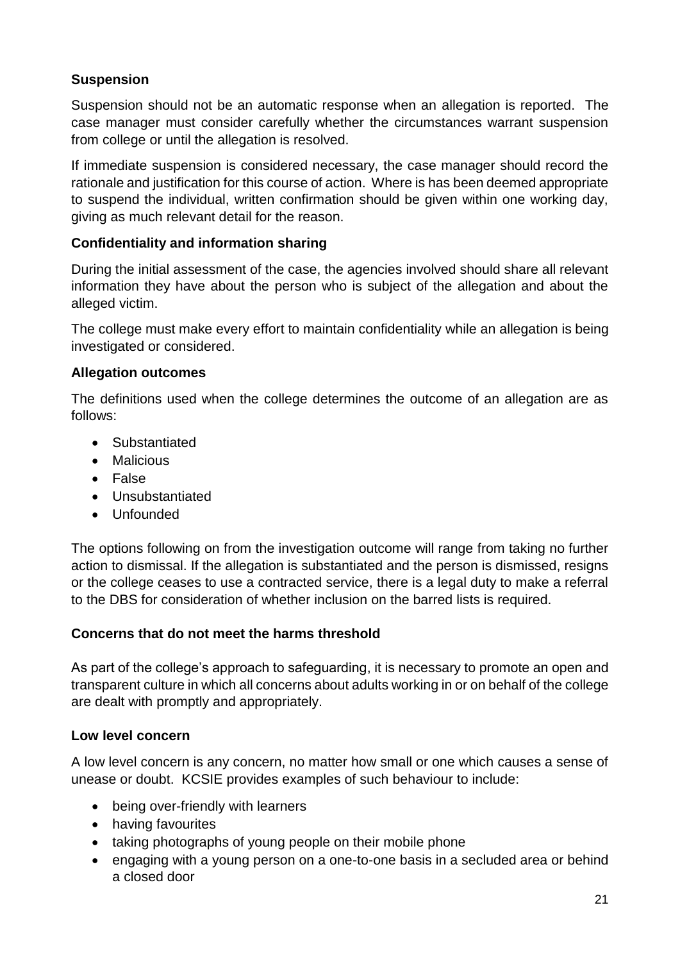# **Suspension**

Suspension should not be an automatic response when an allegation is reported. The case manager must consider carefully whether the circumstances warrant suspension from college or until the allegation is resolved.

If immediate suspension is considered necessary, the case manager should record the rationale and justification for this course of action. Where is has been deemed appropriate to suspend the individual, written confirmation should be given within one working day, giving as much relevant detail for the reason.

# **Confidentiality and information sharing**

During the initial assessment of the case, the agencies involved should share all relevant information they have about the person who is subject of the allegation and about the alleged victim.

The college must make every effort to maintain confidentiality while an allegation is being investigated or considered.

# **Allegation outcomes**

The definitions used when the college determines the outcome of an allegation are as follows:

- Substantiated
- Malicious
- False
- Unsubstantiated
- Unfounded

The options following on from the investigation outcome will range from taking no further action to dismissal. If the allegation is substantiated and the person is dismissed, resigns or the college ceases to use a contracted service, there is a legal duty to make a referral to the DBS for consideration of whether inclusion on the barred lists is required.

# **Concerns that do not meet the harms threshold**

As part of the college's approach to safeguarding, it is necessary to promote an open and transparent culture in which all concerns about adults working in or on behalf of the college are dealt with promptly and appropriately.

# **Low level concern**

A low level concern is any concern, no matter how small or one which causes a sense of unease or doubt. KCSIE provides examples of such behaviour to include:

- being over-friendly with learners
- having favourites
- taking photographs of young people on their mobile phone
- engaging with a young person on a one-to-one basis in a secluded area or behind a closed door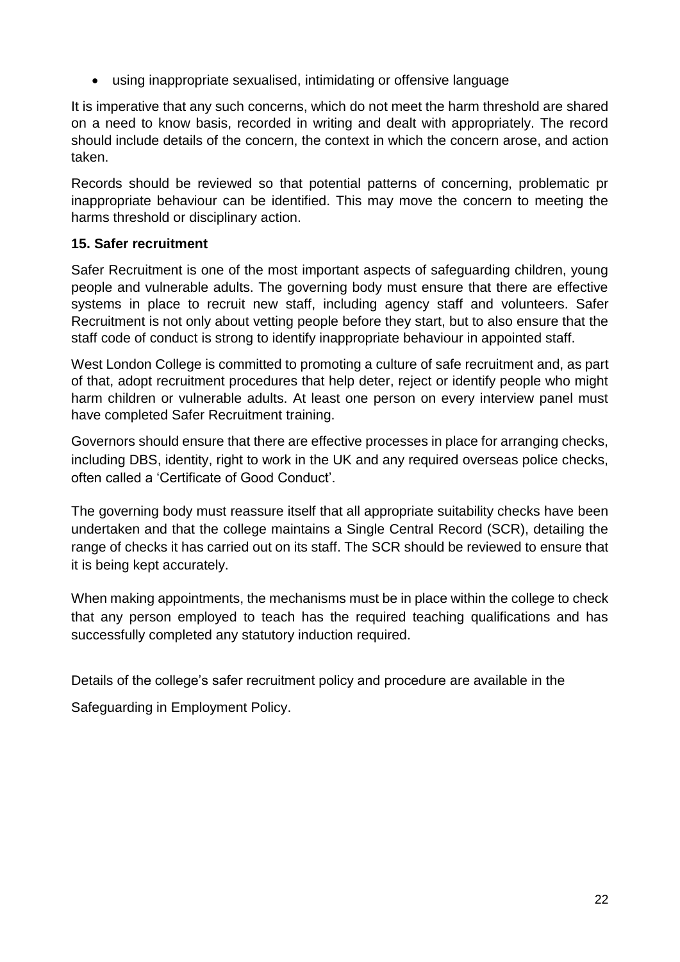• using inappropriate sexualised, intimidating or offensive language

It is imperative that any such concerns, which do not meet the harm threshold are shared on a need to know basis, recorded in writing and dealt with appropriately. The record should include details of the concern, the context in which the concern arose, and action taken.

Records should be reviewed so that potential patterns of concerning, problematic pr inappropriate behaviour can be identified. This may move the concern to meeting the harms threshold or disciplinary action.

# **15. Safer recruitment**

Safer Recruitment is one of the most important aspects of safeguarding children, young people and vulnerable adults. The governing body must ensure that there are effective systems in place to recruit new staff, including agency staff and volunteers. Safer Recruitment is not only about vetting people before they start, but to also ensure that the staff code of conduct is strong to identify inappropriate behaviour in appointed staff.

West London College is committed to promoting a culture of safe recruitment and, as part of that, adopt recruitment procedures that help deter, reject or identify people who might harm children or vulnerable adults. At least one person on every interview panel must have completed Safer Recruitment training.

Governors should ensure that there are effective processes in place for arranging checks, including DBS, identity, right to work in the UK and any required overseas police checks, often called a 'Certificate of Good Conduct'.

The governing body must reassure itself that all appropriate suitability checks have been undertaken and that the college maintains a Single Central Record (SCR), detailing the range of checks it has carried out on its staff. The SCR should be reviewed to ensure that it is being kept accurately.

When making appointments, the mechanisms must be in place within the college to check that any person employed to teach has the required teaching qualifications and has successfully completed any statutory induction required.

Details of the college's safer recruitment policy and procedure are available in the

Safeguarding in Employment Policy.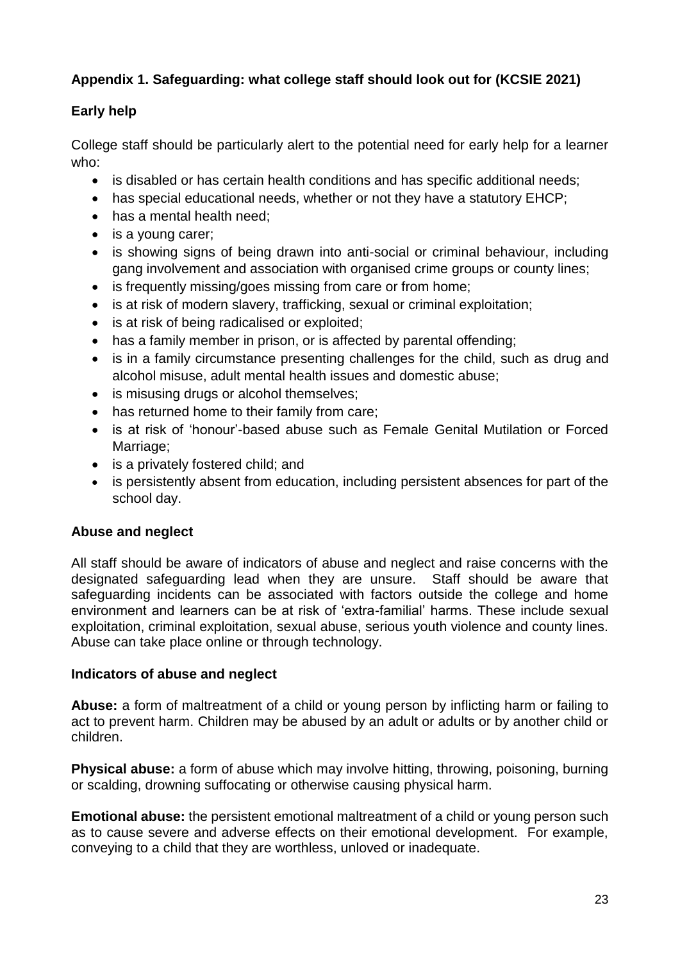# **Appendix 1. Safeguarding: what college staff should look out for (KCSIE 2021)**

# **Early help**

College staff should be particularly alert to the potential need for early help for a learner who:

- is disabled or has certain health conditions and has specific additional needs;
- has special educational needs, whether or not they have a statutory EHCP;
- has a mental health need;
- is a young carer;
- is showing signs of being drawn into anti-social or criminal behaviour, including gang involvement and association with organised crime groups or county lines;
- is frequently missing/goes missing from care or from home;
- is at risk of modern slavery, trafficking, sexual or criminal exploitation;
- is at risk of being radicalised or exploited;
- has a family member in prison, or is affected by parental offending;
- is in a family circumstance presenting challenges for the child, such as drug and alcohol misuse, adult mental health issues and domestic abuse;
- is misusing drugs or alcohol themselves;
- has returned home to their family from care;
- is at risk of 'honour'-based abuse such as Female Genital Mutilation or Forced Marriage:
- is a privately fostered child; and
- is persistently absent from education, including persistent absences for part of the school day.

# **Abuse and neglect**

All staff should be aware of indicators of abuse and neglect and raise concerns with the designated safeguarding lead when they are unsure. Staff should be aware that safeguarding incidents can be associated with factors outside the college and home environment and learners can be at risk of 'extra-familial' harms. These include sexual exploitation, criminal exploitation, sexual abuse, serious youth violence and county lines. Abuse can take place online or through technology.

# **Indicators of abuse and neglect**

**Abuse:** a form of maltreatment of a child or young person by inflicting harm or failing to act to prevent harm. Children may be abused by an adult or adults or by another child or children.

**Physical abuse:** a form of abuse which may involve hitting, throwing, poisoning, burning or scalding, drowning suffocating or otherwise causing physical harm.

**Emotional abuse:** the persistent emotional maltreatment of a child or young person such as to cause severe and adverse effects on their emotional development. For example, conveying to a child that they are worthless, unloved or inadequate.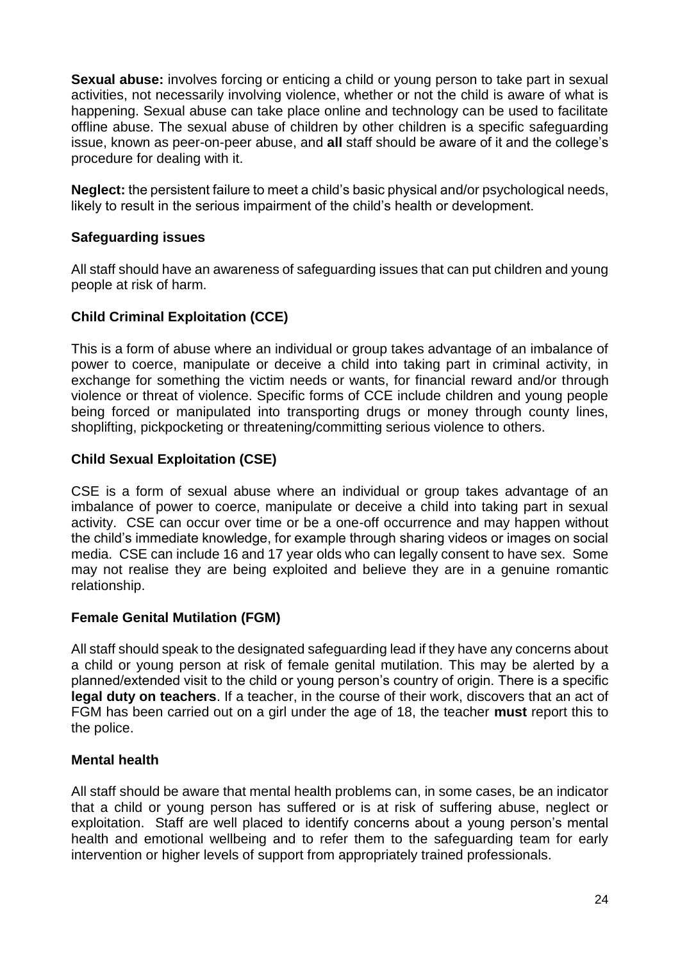**Sexual abuse:** involves forcing or enticing a child or young person to take part in sexual activities, not necessarily involving violence, whether or not the child is aware of what is happening. Sexual abuse can take place online and technology can be used to facilitate offline abuse. The sexual abuse of children by other children is a specific safeguarding issue, known as peer-on-peer abuse, and **all** staff should be aware of it and the college's procedure for dealing with it.

**Neglect:** the persistent failure to meet a child's basic physical and/or psychological needs, likely to result in the serious impairment of the child's health or development.

#### **Safeguarding issues**

All staff should have an awareness of safeguarding issues that can put children and young people at risk of harm.

# **Child Criminal Exploitation (CCE)**

This is a form of abuse where an individual or group takes advantage of an imbalance of power to coerce, manipulate or deceive a child into taking part in criminal activity, in exchange for something the victim needs or wants, for financial reward and/or through violence or threat of violence. Specific forms of CCE include children and young people being forced or manipulated into transporting drugs or money through county lines, shoplifting, pickpocketing or threatening/committing serious violence to others.

# **Child Sexual Exploitation (CSE)**

CSE is a form of sexual abuse where an individual or group takes advantage of an imbalance of power to coerce, manipulate or deceive a child into taking part in sexual activity. CSE can occur over time or be a one-off occurrence and may happen without the child's immediate knowledge, for example through sharing videos or images on social media. CSE can include 16 and 17 year olds who can legally consent to have sex. Some may not realise they are being exploited and believe they are in a genuine romantic relationship.

# **Female Genital Mutilation (FGM)**

All staff should speak to the designated safeguarding lead if they have any concerns about a child or young person at risk of female genital mutilation. This may be alerted by a planned/extended visit to the child or young person's country of origin. There is a specific **legal duty on teachers**. If a teacher, in the course of their work, discovers that an act of FGM has been carried out on a girl under the age of 18, the teacher **must** report this to the police.

# **Mental health**

All staff should be aware that mental health problems can, in some cases, be an indicator that a child or young person has suffered or is at risk of suffering abuse, neglect or exploitation. Staff are well placed to identify concerns about a young person's mental health and emotional wellbeing and to refer them to the safeguarding team for early intervention or higher levels of support from appropriately trained professionals.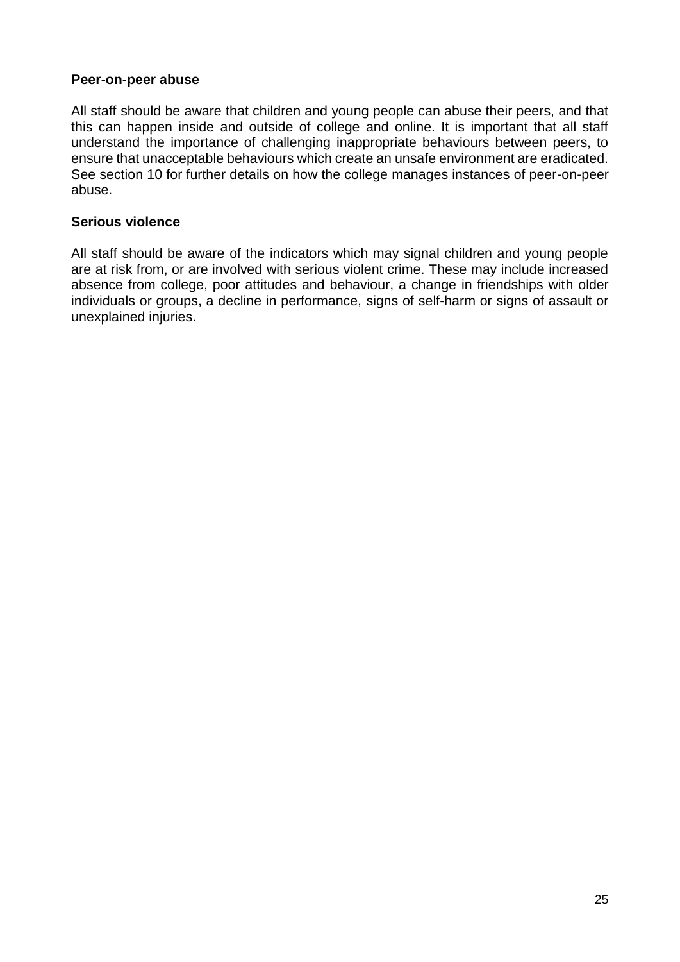#### **Peer-on-peer abuse**

All staff should be aware that children and young people can abuse their peers, and that this can happen inside and outside of college and online. It is important that all staff understand the importance of challenging inappropriate behaviours between peers, to ensure that unacceptable behaviours which create an unsafe environment are eradicated. See section 10 for further details on how the college manages instances of peer-on-peer abuse.

#### **Serious violence**

All staff should be aware of the indicators which may signal children and young people are at risk from, or are involved with serious violent crime. These may include increased absence from college, poor attitudes and behaviour, a change in friendships with older individuals or groups, a decline in performance, signs of self-harm or signs of assault or unexplained injuries.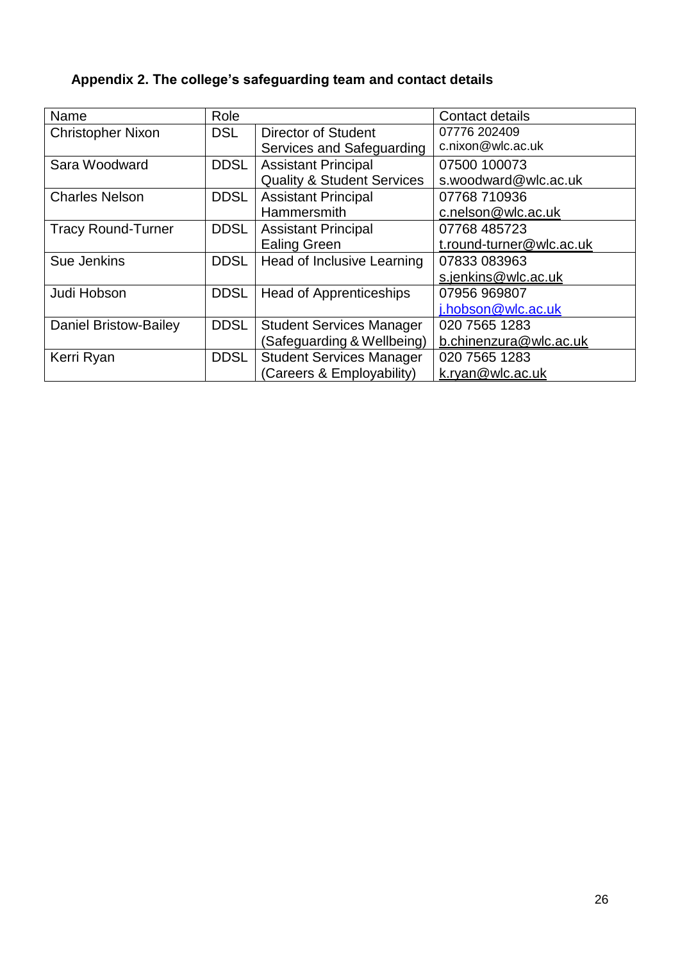| Name                         | Role        |                                       | Contact details          |
|------------------------------|-------------|---------------------------------------|--------------------------|
| <b>Christopher Nixon</b>     | <b>DSL</b>  | <b>Director of Student</b>            | 07776 202409             |
|                              |             | Services and Safeguarding             | c.nixon@wlc.ac.uk        |
| Sara Woodward                | <b>DDSL</b> | <b>Assistant Principal</b>            | 07500 100073             |
|                              |             | <b>Quality &amp; Student Services</b> | s.woodward@wlc.ac.uk     |
| <b>Charles Nelson</b>        | <b>DDSL</b> | <b>Assistant Principal</b>            | 07768 710936             |
|                              |             | <b>Hammersmith</b>                    | c.nelson@wlc.ac.uk       |
| <b>Tracy Round-Turner</b>    | <b>DDSL</b> | <b>Assistant Principal</b>            | 07768 485723             |
|                              |             | <b>Ealing Green</b>                   | t.round-turner@wlc.ac.uk |
| Sue Jenkins                  | <b>DDSL</b> | Head of Inclusive Learning            | 07833 083963             |
|                              |             |                                       | s.jenkins@wlc.ac.uk      |
| Judi Hobson                  | <b>DDSL</b> | <b>Head of Apprenticeships</b>        | 07956 969807             |
|                              |             |                                       | j.hobson@wlc.ac.uk       |
| <b>Daniel Bristow-Bailey</b> | <b>DDSL</b> | <b>Student Services Manager</b>       | 020 7565 1283            |
|                              |             | (Safeguarding & Wellbeing)            | b.chinenzura@wlc.ac.uk   |
| Kerri Ryan                   | <b>DDSL</b> | <b>Student Services Manager</b>       | 020 7565 1283            |
|                              |             | (Careers & Employability)             | k.ryan@wlc.ac.uk         |

# **Appendix 2. The college's safeguarding team and contact details**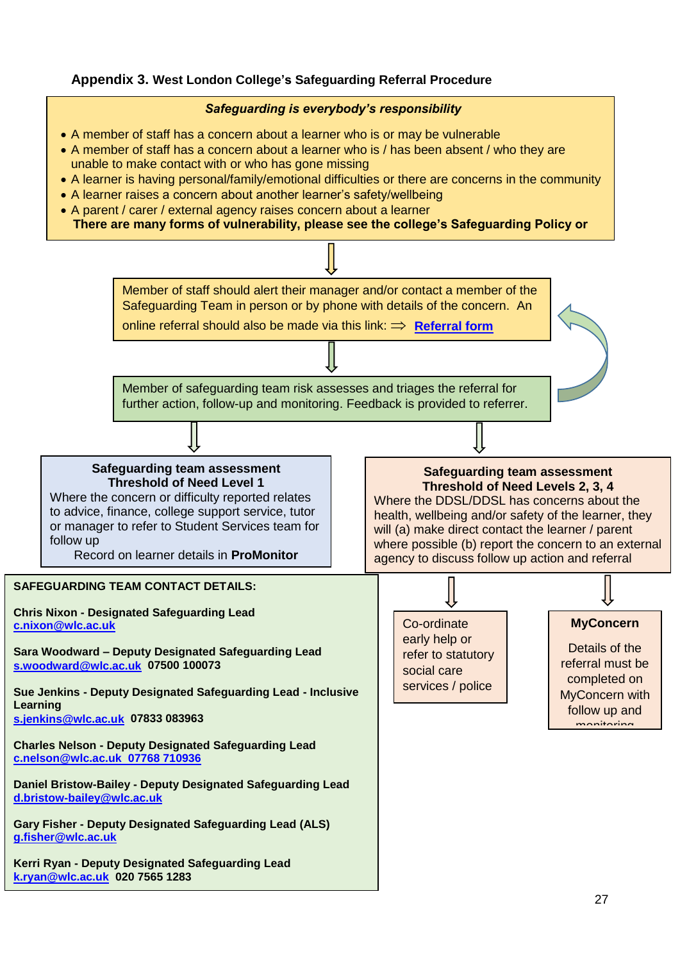#### **Appendix 3. West London College's Safeguarding Referral Procedure**



- A member of staff has a concern about a learner who is or may be vulnerable
- A member of staff has a concern about a learner who is / has been absent / who they are unable to make contact with or who has gone missing
- A learner is having personal/family/emotional difficulties or there are concerns in the community
- A learner raises a concern about another learner's safety/wellbeing
- A parent / carer / external agency raises concern about a learner **There are many forms of vulnerability, please see the college's Safeguarding Policy or**

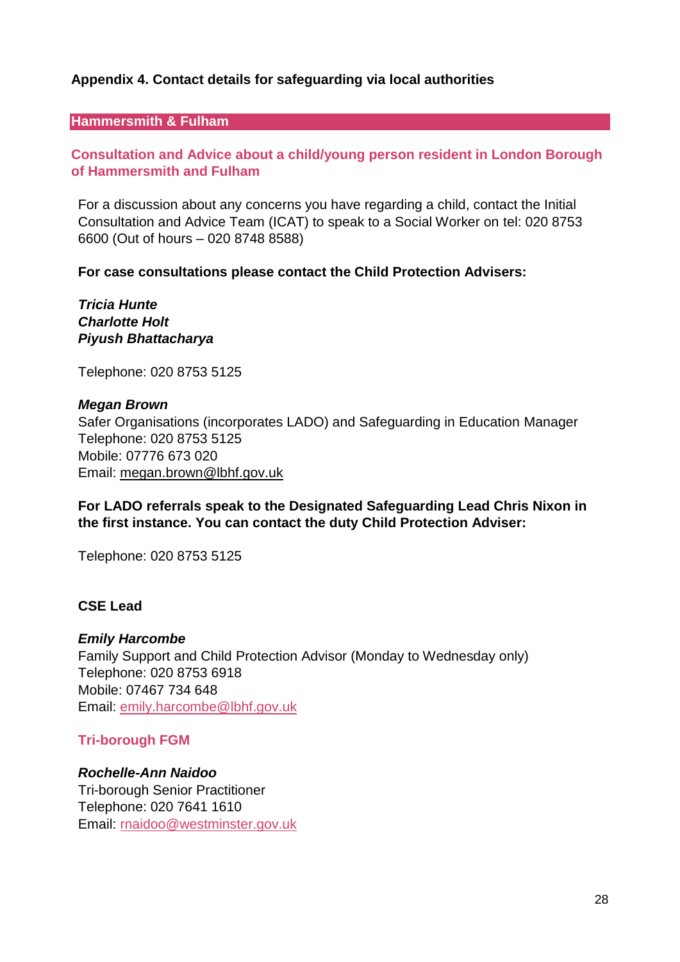# **Appendix 4. Contact details for safeguarding via local authorities**

#### **Hammersmith & Fulham**

# **Consultation and Advice about a child/young person resident in London Borough of Hammersmith and Fulham**

For a discussion about any concerns you have regarding a child, contact the Initial Consultation and Advice Team (ICAT) to speak to a Social Worker on tel: 020 8753 6600 (Out of hours – 020 8748 8588)

#### **For case consultations please contact the Child Protection Advisers:**

*Tricia Hunte Charlotte Holt Piyush Bhattacharya*

Telephone: 020 8753 5125

#### *Megan Brown*

Safer Organisations (incorporates LADO) and Safeguarding in Education Manager Telephone: 020 8753 5125 Mobile: 07776 673 020 Email: [megan.brown@lbhf.gov.uk](mailto:megan.brown@lbhf.gov.uk)

**For LADO referrals speak to the Designated Safeguarding Lead Chris Nixon in the first instance. You can contact the duty Child Protection Adviser:**

Telephone: 020 8753 5125

#### **CSE Lead**

#### *Emily Harcombe*

Family Support and Child Protection Advisor (Monday to Wednesday only) Telephone: 020 8753 6918 Mobile: 07467 734 648 Email: [emily.harcombe@lbhf.gov.uk](mailto:emily.harcombe@lbhf.gov.uk)

#### **Tri-borough FGM**

#### *Rochelle-Ann Naidoo*

Tri-borough Senior Practitioner Telephone: 020 7641 1610 Email: [rnaidoo@westminster.gov.uk](mailto:rnaidoo@westminster.gov.uk)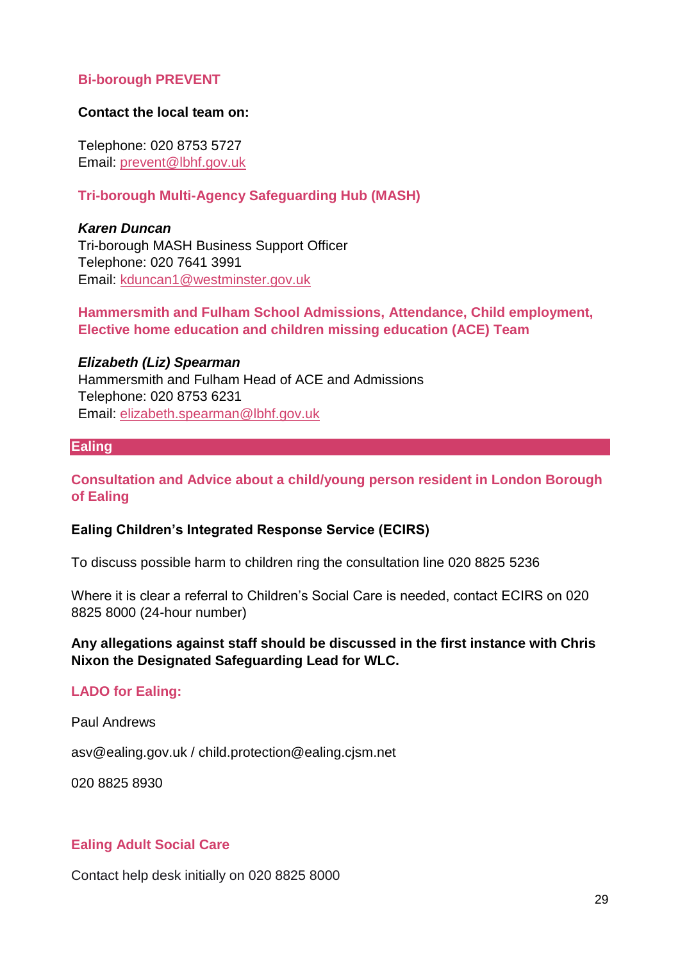#### **Bi-borough PREVENT**

#### **Contact the local team on:**

Telephone: 020 8753 5727 Email: [prevent@lbhf.gov.uk](mailto:prevent@lbhf.gov.uk)

#### **Tri-borough Multi-Agency Safeguarding Hub (MASH)**

*Karen Duncan* Tri-borough MASH Business Support Officer Telephone: 020 7641 3991 Email: [kduncan1@westminster.gov.uk](mailto:kduncan1@westminster.gov.uk)

#### **Hammersmith and Fulham School Admissions, Attendance, Child employment, Elective home education and children missing education (ACE) Team**

*Elizabeth (Liz) Spearman*

Hammersmith and Fulham Head of ACE and Admissions Telephone: 020 8753 6231 Email: [elizabeth.spearman@lbhf.gov.uk](mailto:elizabeth.spearman@lbhf.gov.uk)

#### **Ealing**

**Consultation and Advice about a child/young person resident in London Borough of Ealing**

#### **Ealing Children's Integrated Response Service (ECIRS)**

To discuss possible harm to children ring the consultation line 020 8825 5236

Where it is clear a referral to Children's Social Care is needed, contact ECIRS on 020 8825 8000 (24-hour number)

#### **Any allegations against staff should be discussed in the first instance with Chris Nixon the Designated Safeguarding Lead for WLC.**

#### **LADO for Ealing:**

Paul Andrews

asv@ealing.gov.uk / child.protection@ealing.cjsm.net

020 8825 8930

#### **Ealing Adult Social Care**

Contact help desk initially on 020 8825 8000